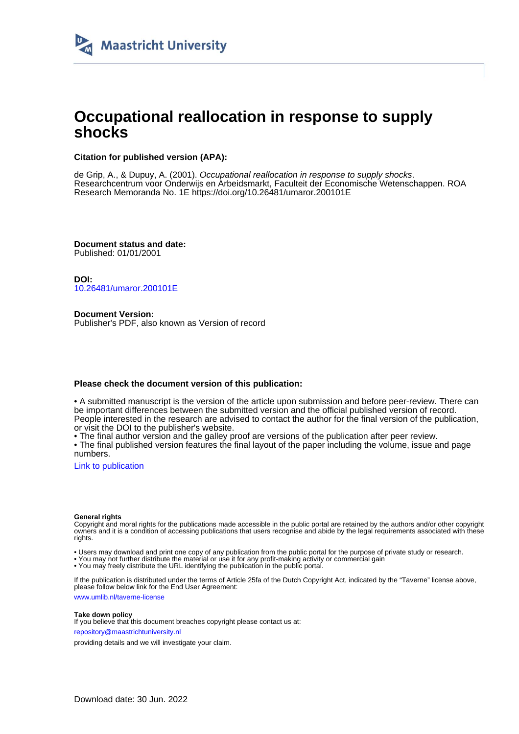

# **Occupational reallocation in response to supply shocks**

## **Citation for published version (APA):**

de Grip, A., & Dupuy, A. (2001). Occupational reallocation in response to supply shocks. Researchcentrum voor Onderwijs en Arbeidsmarkt, Faculteit der Economische Wetenschappen. ROA Research Memoranda No. 1E<https://doi.org/10.26481/umaror.200101E>

**Document status and date:** Published: 01/01/2001

**DOI:** [10.26481/umaror.200101E](https://doi.org/10.26481/umaror.200101E)

**Document Version:** Publisher's PDF, also known as Version of record

## **Please check the document version of this publication:**

• A submitted manuscript is the version of the article upon submission and before peer-review. There can be important differences between the submitted version and the official published version of record. People interested in the research are advised to contact the author for the final version of the publication, or visit the DOI to the publisher's website.

• The final author version and the galley proof are versions of the publication after peer review.

• The final published version features the final layout of the paper including the volume, issue and page numbers.

[Link to publication](https://cris.maastrichtuniversity.nl/en/publications/65ec38d6-9856-4031-ac14-2378a7100cac)

### **General rights**

Copyright and moral rights for the publications made accessible in the public portal are retained by the authors and/or other copyright owners and it is a condition of accessing publications that users recognise and abide by the legal requirements associated with these rights.

• Users may download and print one copy of any publication from the public portal for the purpose of private study or research.

• You may not further distribute the material or use it for any profit-making activity or commercial gain

• You may freely distribute the URL identifying the publication in the public portal.

If the publication is distributed under the terms of Article 25fa of the Dutch Copyright Act, indicated by the "Taverne" license above, please follow below link for the End User Agreement:

www.umlib.nl/taverne-license

### **Take down policy**

If you believe that this document breaches copyright please contact us at: repository@maastrichtuniversity.nl

providing details and we will investigate your claim.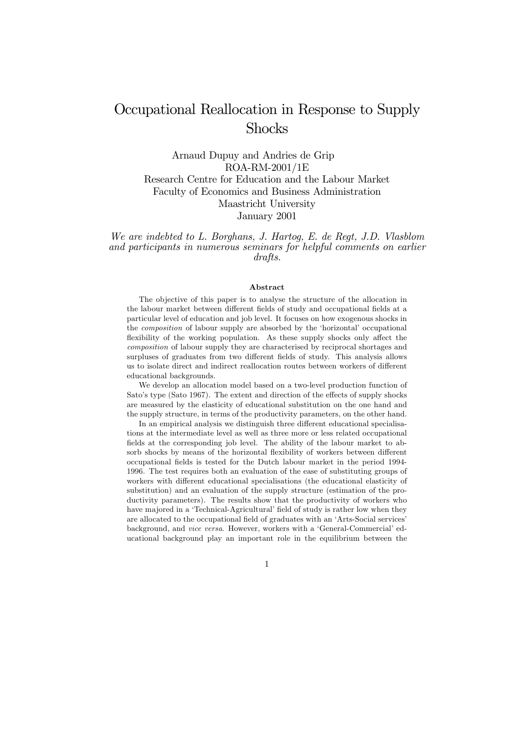# Occupational Reallocation in Response to Supply **Shocks**

Arnaud Dupuy and Andries de Grip ROA-RM-2001/1E Research Centre for Education and the Labour Market Faculty of Economics and Business Administration Maastricht University January 2001

We are indebted to L. Borghans, J. Hartog, E. de Regt, J.D. Vlasblom and participants in numerous seminars for helpful comments on earlier drafts.

### Abstract

The objective of this paper is to analyse the structure of the allocation in the labour market between different fields of study and occupational fields at a particular level of education and job level. It focuses on how exogenous shocks in the *composition* of labour supply are absorbed by the 'horizontal' occupational flexibility of the working population. As these supply shocks only affect the composition of labour supply they are characterised by reciprocal shortages and surpluses of graduates from two different fields of study. This analysis allows us to isolate direct and indirect reallocation routes between workers of different educational backgrounds.

We develop an allocation model based on a two-level production function of Sato's type (Sato 1967). The extent and direction of the effects of supply shocks are measured by the elasticity of educational substitution on the one hand and the supply structure, in terms of the productivity parameters, on the other hand.

In an empirical analysis we distinguish three different educational specialisations at the intermediate level as well as three more or less related occupational fields at the corresponding job level. The ability of the labour market to absorb shocks by means of the horizontal flexibility of workers between different occupational fields is tested for the Dutch labour market in the period 1994-1996. The test requires both an evaluation of the ease of substituting groups of workers with different educational specialisations (the educational elasticity of substitution) and an evaluation of the supply structure (estimation of the productivity parameters). The results show that the productivity of workers who have majored in a 'Technical-Agricultural' field of study is rather low when they are allocated to the occupational field of graduates with an 'Arts-Social services' background, and vice versa. However, workers with a 'General-Commercial' educational background play an important role in the equilibrium between the

 $\mathbf{1}$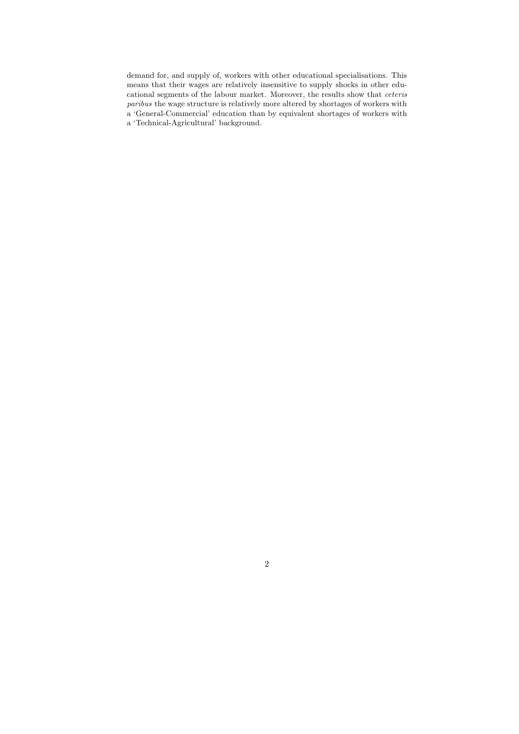demand for, and supply of, workers with other educational specialisations. This means that their wages are relatively insensitive to supply shocks in other educational segments of the labour market. Moreover, the results show that *ceteris* paribus the wage structure is relatively more altered by shortages of workers with a 'General-Commercial' education than by equivalent shortages of workers with a 'Technical-Agricultural' background.

 $\overline{2}$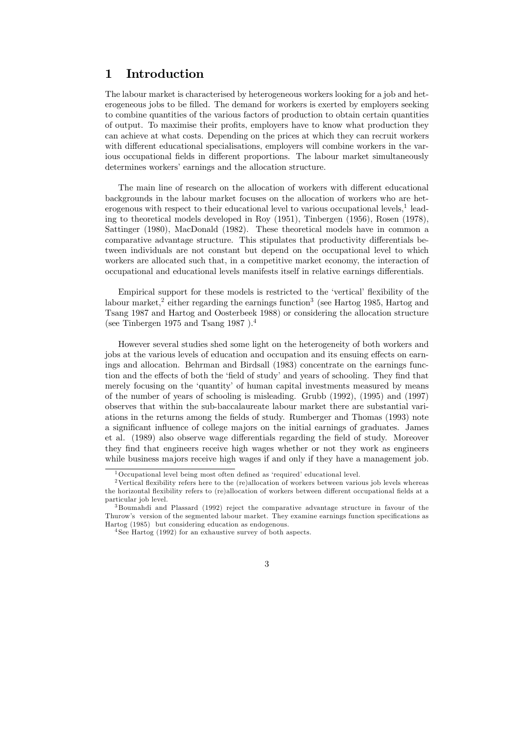#### Introduction  $\mathbf{1}$

The labour market is characterised by heterogeneous workers looking for a job and heterogeneous jobs to be filled. The demand for workers is exerted by employers seeking to combine quantities of the various factors of production to obtain certain quantities of output. To maximise their profits, employers have to know what production they can achieve at what costs. Depending on the prices at which they can recruit workers with different educational specialisations, employers will combine workers in the various occupational fields in different proportions. The labour market simultaneously determines workers' earnings and the allocation structure.

The main line of research on the allocation of workers with different educational backgrounds in the labour market focuses on the allocation of workers who are heterogenous with respect to their educational level to various occupational levels,  $\frac{1}{1}$  leading to theoretical models developed in Roy (1951), Tinbergen (1956), Rosen (1978), Sattinger (1980), MacDonald (1982). These theoretical models have in common a comparative advantage structure. This stipulates that productivity differentials between individuals are not constant but depend on the occupational level to which workers are allocated such that, in a competitive market economy, the interaction of occupational and educational levels manifests itself in relative earnings differentials.

Empirical support for these models is restricted to the 'vertical' flexibility of the labour market,<sup>2</sup> either regarding the earnings function<sup>3</sup> (see Hartog 1985, Hartog and Tsang 1987 and Hartog and Oosterbeek 1988) or considering the allocation structure (see Tinbergen 1975 and Tsang 1987).<sup>4</sup>

However several studies shed some light on the heterogeneity of both workers and jobs at the various levels of education and occupation and its ensuing effects on earnings and allocation. Behrman and Birdsall (1983) concentrate on the earnings function and the effects of both the 'field of study' and years of schooling. They find that merely focusing on the 'quantity' of human capital investments measured by means of the number of years of schooling is misleading. Grubb (1992), (1995) and (1997) observes that within the sub-baccalaureate labour market there are substantial variations in the returns among the fields of study. Rumberger and Thomas (1993) note a significant influence of college majors on the initial earnings of graduates. James et al. (1989) also observe wage differentials regarding the field of study. Moreover they find that engineers receive high wages whether or not they work as engineers while business majors receive high wages if and only if they have a management job.

<sup>&</sup>lt;sup>1</sup>Occupational level being most often defined as 'required' educational level.

<sup>&</sup>lt;sup>2</sup>Vertical flexibility refers here to the (re)allocation of workers between various job levels whereas the horizontal flexibility refers to (re)allocation of workers between different occupational fields at a particular job level.

 $3$ Boumahdi and Plassard (1992) reject the comparative advantage structure in favour of the Thurow's version of the segmented labour market. They examine earnings function specifications as Hartog (1985) but considering education as endogenous.

 $4$ See Hartog (1992) for an exhaustive survey of both aspects.

<sup>3</sup>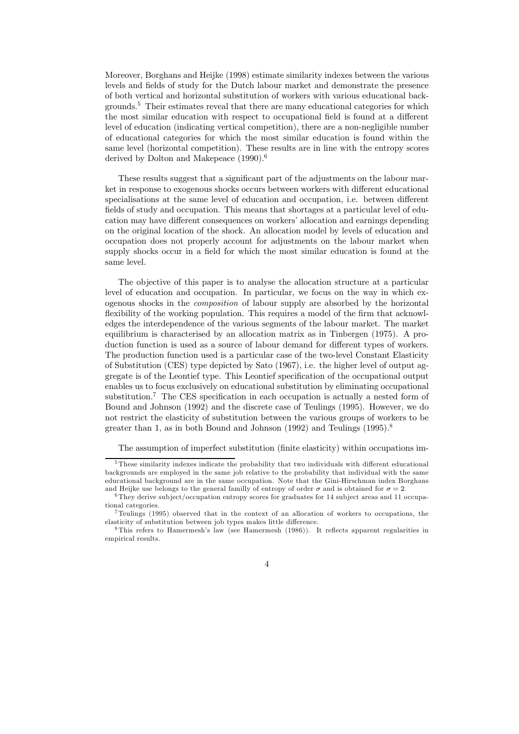Moreover, Borghans and Heijke (1998) estimate similarity indexes between the various levels and fields of study for the Dutch labour market and demonstrate the presence of both vertical and horizontal substitution of workers with various educational backgrounds.<sup>5</sup> Their estimates reveal that there are many educational categories for which the most similar education with respect to occupational field is found at a different level of education (indicating vertical competition), there are a non-negligible number of educational categories for which the most similar education is found within the same level (horizontal competition). These results are in line with the entropy scores derived by Dolton and Makepeace  $(1990).$ <sup>6</sup>

These results suggest that a significant part of the adjustments on the labour market in response to exogenous shocks occurs between workers with different educational specialisations at the same level of education and occupation, i.e. between different fields of study and occupation. This means that shortages at a particular level of education may have different consequences on workers' allocation and earnings depending on the original location of the shock. An allocation model by levels of education and occupation does not properly account for adjustments on the labour market when supply shocks occur in a field for which the most similar education is found at the same level.

The objective of this paper is to analyse the allocation structure at a particular level of education and occupation. In particular, we focus on the way in which exogenous shocks in the *composition* of labour supply are absorbed by the horizontal flexibility of the working population. This requires a model of the firm that acknowledges the interdependence of the various segments of the labour market. The market equilibrium is characterised by an allocation matrix as in Tinbergen (1975). A production function is used as a source of labour demand for different types of workers. The production function used is a particular case of the two-level Constant Elasticity of Substitution (CES) type depicted by Sato (1967), i.e. the higher level of output aggregate is of the Leontief type. This Leontief specification of the occupational output enables us to focus exclusively on educational substitution by eliminating occupational substitution.<sup>7</sup> The CES specification in each occupation is actually a nested form of Bound and Johnson (1992) and the discrete case of Teulings (1995). However, we do not restrict the elasticity of substitution between the various groups of workers to be greater than 1, as in both Bound and Johnson  $(1992)$  and Teulings  $(1995)^8$ 

The assumption of imperfect substitution (finite elasticity) within occupations im-

 $5$ These similarity indexes indicate the probability that two individuals with different educational backgrounds are employed in the same job relative to the probability that individual with the same educational background are in the same occupation. Note that the Gini-Hirschman index Borghans and Heijke use belongs to the general familly of entropy of order  $\sigma$  and is obtained for  $\sigma = 2$ .

 $6$ They derive subject/occupation entropy scores for graduates for 14 subject areas and 11 occupational categories.

Teulings (1995) observed that in the context of an allocation of workers to occupations, the elasticity of substitution between job types makes little difference.

<sup>&</sup>lt;sup>8</sup>This refers to Hamermesh's law (see Hamermesh  $(1986)$ ). It reflects apparent regularities in empirical results.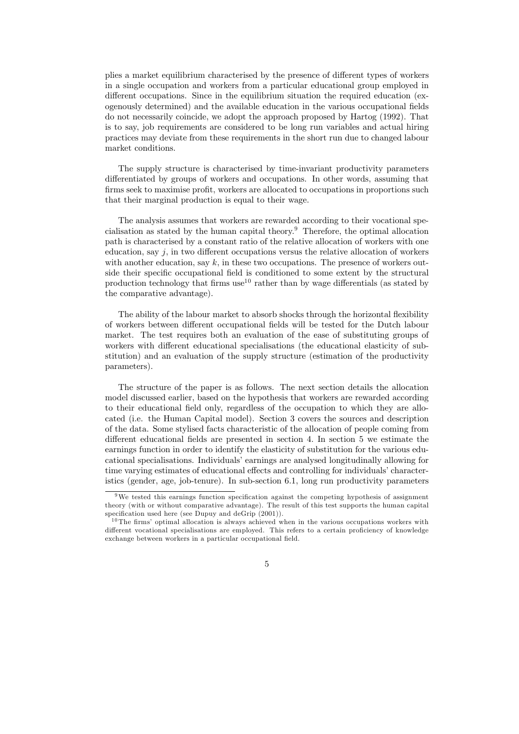plies a market equilibrium characterised by the presence of different types of workers in a single occupation and workers from a particular educational group employed in different occupations. Since in the equilibrium situation the required education (exogenously determined) and the available education in the various occupational fields do not necessarily coincide, we adopt the approach proposed by Hartog (1992). That is to say, job requirements are considered to be long run variables and actual hiring practices may deviate from these requirements in the short run due to changed labour market conditions.

The supply structure is characterised by time-invariant productivity parameters differentiated by groups of workers and occupations. In other words, assuming that firms seek to maximise profit, workers are allocated to occupations in proportions such that their marginal production is equal to their wage.

The analysis assumes that workers are rewarded according to their vocational specialisation as stated by the human capital theory.<sup>9</sup> Therefore, the optimal allocation path is characterised by a constant ratio of the relative allocation of workers with one education, say  $j$ , in two different occupations versus the relative allocation of workers with another education, say  $k$ , in these two occupations. The presence of workers outside their specific occupational field is conditioned to some extent by the structural production technology that firms use<sup>10</sup> rather than by wage differentials (as stated by the comparative advantage).

The ability of the labour market to absorb shocks through the horizontal flexibility of workers between different occupational fields will be tested for the Dutch labour market. The test requires both an evaluation of the ease of substituting groups of workers with different educational specialisations (the educational elasticity of substitution) and an evaluation of the supply structure (estimation of the productivity parameters).

The structure of the paper is as follows. The next section details the allocation model discussed earlier, based on the hypothesis that workers are rewarded according to their educational field only, regardless of the occupation to which they are allocated (i.e. the Human Capital model). Section 3 covers the sources and description of the data. Some stylised facts characteristic of the allocation of people coming from different educational fields are presented in section 4. In section 5 we estimate the earnings function in order to identify the elasticity of substitution for the various educational specialisations. Individuals' earnings are analysed longitudinally allowing for time varying estimates of educational effects and controlling for individuals' characteristics (gender, age, job-tenure). In sub-section 6.1, long run productivity parameters

<sup>&</sup>lt;sup>9</sup>We tested this earnings function specification against the competing hypothesis of assignment theory (with or without comparative advantage). The result of this test supports the human capital specification used here (see Dupuy and deGrip (2001)).

 $10$ The firms' optimal allocation is always achieved when in the various occupations workers with different vocational specialisations are employed. This refers to a certain proficiency of knowledge exchange between workers in a particular occupational field.

 $\overline{5}$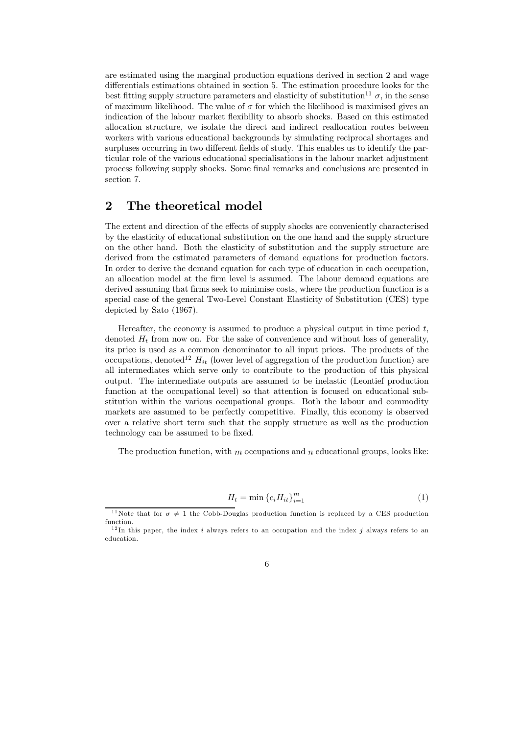are estimated using the marginal production equations derived in section 2 and wage differentials estimations obtained in section 5. The estimation procedure looks for the best fitting supply structure parameters and elasticity of substitution<sup>11</sup>  $\sigma$ , in the sense of maximum likelihood. The value of  $\sigma$  for which the likelihood is maximised gives an indication of the labour market flexibility to absorb shocks. Based on this estimated allocation structure, we isolate the direct and indirect reallocation routes between workers with various educational backgrounds by simulating reciprocal shortages and surpluses occurring in two different fields of study. This enables us to identify the particular role of the various educational specialisations in the labour market adjustment process following supply shocks. Some final remarks and conclusions are presented in section 7.

#### $\overline{2}$ The theoretical model

The extent and direction of the effects of supply shocks are conveniently characterised by the elasticity of educational substitution on the one hand and the supply structure on the other hand. Both the elasticity of substitution and the supply structure are derived from the estimated parameters of demand equations for production factors. In order to derive the demand equation for each type of education in each occupation, an allocation model at the firm level is assumed. The labour demand equations are derived assuming that firms seek to minimise costs, where the production function is a special case of the general Two-Level Constant Elasticity of Substitution (CES) type depicted by Sato (1967).

Hereafter, the economy is assumed to produce a physical output in time period  $t$ , denoted  $H_t$  from now on. For the sake of convenience and without loss of generality, its price is used as a common denominator to all input prices. The products of the occupations, denoted<sup>12</sup>  $H_{it}$  (lower level of aggregation of the production function) are all intermediates which serve only to contribute to the production of this physical output. The intermediate outputs are assumed to be inelastic (Leontief production function at the occupational level) so that attention is focused on educational substitution within the various occupational groups. Both the labour and commodity markets are assumed to be perfectly competitive. Finally, this economy is observed over a relative short term such that the supply structure as well as the production technology can be assumed to be fixed.

The production function, with  $m$  occupations and  $n$  educational groups, looks like:

$$
H_t = \min \left\{ c_i H_{it} \right\}_{i=1}^m \tag{1}
$$

<sup>&</sup>lt;sup>11</sup>Note that for  $\sigma \neq 1$  the Cobb-Douglas production function is replaced by a CES production function.

 $12$ In this paper, the index i always refers to an occupation and the index j always refers to an education.

 $\overline{6}$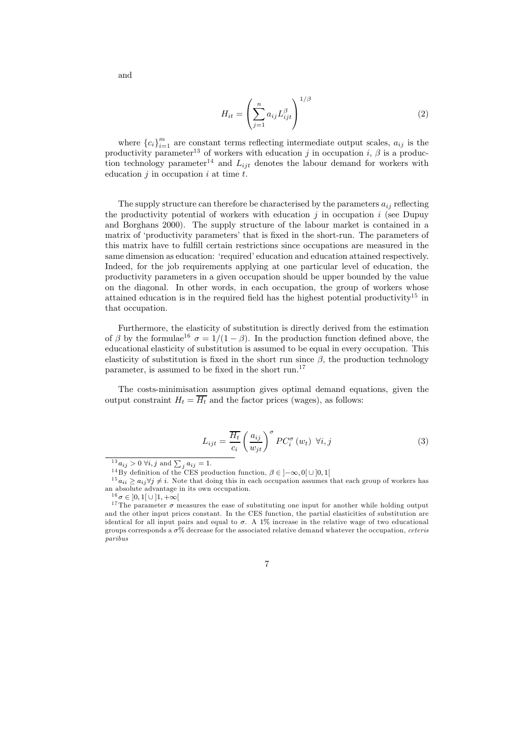$$
H_{it} = \left(\sum_{j=1}^{n} a_{ij} L_{ijt}^{\beta}\right)^{1/\beta} \tag{2}
$$

where  ${c_i}_{i=1}^m$  are constant terms reflecting intermediate output scales,  $a_{ij}$  is the productivity parameter<sup>13</sup> of workers with education j in occupation i,  $\beta$  is a production technology parameter<sup>14</sup> and  $L_{ijt}$  denotes the labour demand for workers with education  $i$  in occupation  $i$  at time  $t$ .

The supply structure can therefore be characterised by the parameters  $a_{ij}$  reflecting the productivity potential of workers with education  $j$  in occupation  $i$  (see Dupuy and Borghans 2000). The supply structure of the labour market is contained in a matrix of 'productivity parameters' that is fixed in the short-run. The parameters of this matrix have to fulfill certain restrictions since occupations are measured in the same dimension as education: 'required' education and education attained respectively. Indeed, for the job requirements applying at one particular level of education, the productivity parameters in a given occupation should be upper bounded by the value on the diagonal. In other words, in each occupation, the group of workers whose attained education is in the required field has the highest potential productivity<sup>15</sup> in that occupation.

Furthermore, the elasticity of substitution is directly derived from the estimation of  $\beta$  by the formulae<sup>16</sup>  $\sigma = 1/(1 - \beta)$ . In the production function defined above, the educational elasticity of substitution is assumed to be equal in every occupation. This elasticity of substitution is fixed in the short run since  $\beta$ , the production technology parameter, is assumed to be fixed in the short run.<sup>17</sup>

The costs-minimisation assumption gives optimal demand equations, given the output constraint  $H_t = \overline{H_t}$  and the factor prices (wages), as follows:

$$
L_{ijt} = \frac{\overline{H_t}}{c_i} \left(\frac{a_{ij}}{w_{jt}}\right)^{\sigma} PC_i^{\sigma}(w_t) \ \forall i, j
$$
 (3)

 $15 a_{ii} \ge a_{ij} \forall j \ne i$ . Note that doing this in each occupation assumes that each group of workers has an absolute advantage in its own occupation.

 $\overline{7}$ 

 $13 a_{ij} > 0 \; \forall i, j \text{ and } \sum_i a_{ij} = 1.$ 

<sup>&</sup>lt;sup>14</sup>By definition of the CES production function,  $\beta \in [-\infty, 0] \cup [0, 1]$ 

 $^{16}\sigma \in [0,1[ \cup [1,+\infty[$ 

<sup>&</sup>lt;sup>17</sup>The parameter  $\sigma$  measures the ease of substituting one input for another while holding output and the other input prices constant. In the CES function, the partial elasticities of substitution are identical for all input pairs and equal to  $\sigma$ . A 1% increase in the relative wage of two educational groups corresponds a  $\sigma\%$  decrease for the associated relative demand whatever the occupation, ceteris  $parityus$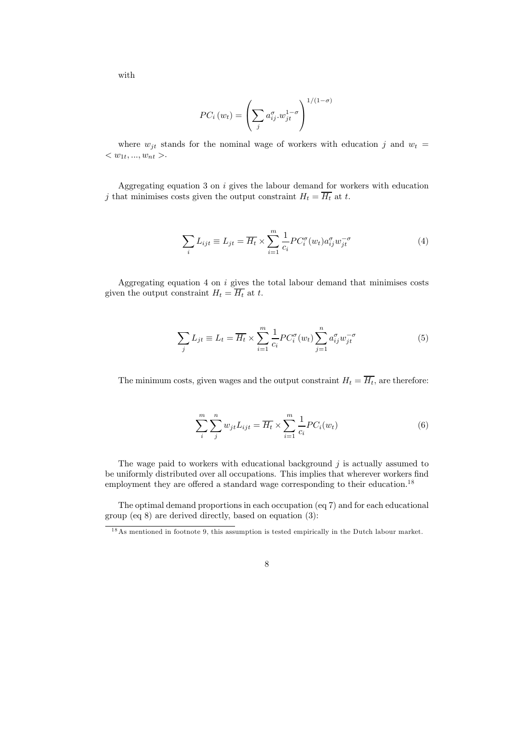with

$$
PC_i(w_t) = \left(\sum_j a_{ij}^{\sigma} \cdot w_{jt}^{1-\sigma}\right)^{1/(1-\sigma)}
$$

where  $w_{jt}$  stands for the nominal wage of workers with education j and  $w_t =$  $< w_{1t}, ..., w_{nt} >.$ 

Aggregating equation 3 on  $i$  gives the labour demand for workers with education j that minimises costs given the output constraint  $H_t = \overline{H_t}$  at t.

$$
\sum_{i} L_{ijt} \equiv L_{jt} = \overline{H_t} \times \sum_{i=1}^{m} \frac{1}{c_i} P C_i^{\sigma}(w_t) a_{ij}^{\sigma} w_{jt}^{-\sigma}
$$
(4)

Aggregating equation 4 on  $i$  gives the total labour demand that minimises costs given the output constraint  $H_t = \overline{H_t}$  at t.

$$
\sum_{j} L_{jt} \equiv L_t = \overline{H_t} \times \sum_{i=1}^{m} \frac{1}{c_i} P C_i^{\sigma}(w_t) \sum_{j=1}^{n} a_{ij}^{\sigma} w_{jt}^{-\sigma}
$$
(5)

The minimum costs, given wages and the output constraint  $H_t = \overline{H_t}$ , are therefore:

$$
\sum_{i}^{m} \sum_{j}^{n} w_{jt} L_{ijt} = \overline{H_t} \times \sum_{i=1}^{m} \frac{1}{c_i} P C_i(w_t)
$$
\n
$$
(6)
$$

The wage paid to workers with educational background  $j$  is actually assumed to be uniformly distributed over all occupations. This implies that wherever workers find employment they are offered a standard wage corresponding to their education.<sup>18</sup>

The optimal demand proportions in each occupation (eq 7) and for each educational group (eq  $8$ ) are derived directly, based on equation (3):

 $18$ As mentioned in footnote 9, this assumption is tested empirically in the Dutch labour market.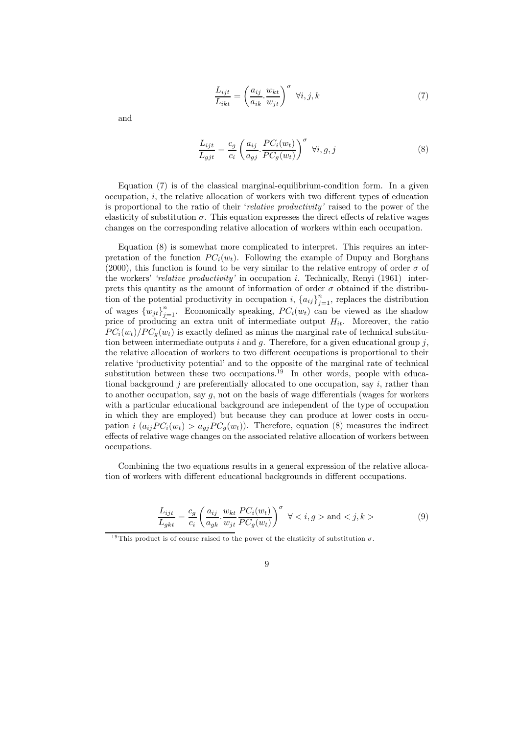$$
\frac{L_{ijt}}{L_{ikt}} = \left(\frac{a_{ij}}{a_{ik}} \cdot \frac{w_{kt}}{w_{jt}}\right)^{\sigma} \ \forall i, j, k \tag{7}
$$

and

$$
\frac{L_{ijt}}{L_{gjt}} = \frac{c_g}{c_i} \left( \frac{a_{ij}}{a_{gj}} \cdot \frac{PC_i(w_t)}{PC_g(w_t)} \right)^\sigma \ \forall i, g, j \tag{8}
$$

Equation (7) is of the classical marginal-equilibrium-condition form. In a given occupation,  $i$ , the relative allocation of workers with two different types of education is proportional to the ratio of their 'relative productivity' raised to the power of the elasticity of substitution  $\sigma$ . This equation expresses the direct effects of relative wages changes on the corresponding relative allocation of workers within each occupation.

Equation (8) is somewhat more complicated to interpret. This requires an interpretation of the function  $PC_i(w_t)$ . Following the example of Dupuy and Borghans (2000), this function is found to be very similar to the relative entropy of order  $\sigma$  of the workers' 'relative productivity' in occupation i. Technically, Renyi (1961) interprets this quantity as the amount of information of order  $\sigma$  obtained if the distribution of the potential productivity in occupation i,  ${a_{ij}}_{j=1}^n$ , replaces the distribution of wages  ${w_{it}}_{i=1}^n$ . Economically speaking,  $PC_i(w_t)$  can be viewed as the shadow price of producing an extra unit of intermediate output  $H_{it}$ . Moreover, the ratio  $PC_i(w_t)/PC_a(w_t)$  is exactly defined as minus the marginal rate of technical substitution between intermediate outputs i and  $q$ . Therefore, for a given educational group j, the relative allocation of workers to two different occupations is proportional to their relative 'productivity potential' and to the opposite of the marginal rate of technical substitution between these two occupations.<sup>19</sup> In other words, people with educational background j are preferentially allocated to one occupation, say  $i$ , rather than to another occupation, say  $g$ , not on the basis of wage differentials (wages for workers with a particular educational background are independent of the type of occupation in which they are employed) but because they can produce at lower costs in occupation  $i(a_{ij}PC_i(w_t) > a_{ij}PC_q(w_t))$ . Therefore, equation (8) measures the indirect effects of relative wage changes on the associated relative allocation of workers between occupations.

Combining the two equations results in a general expression of the relative allocation of workers with different educational backgrounds in different occupations.

$$
\frac{L_{ijt}}{L_{gkt}} = \frac{c_g}{c_i} \left( \frac{a_{ij}}{a_{gk}} \cdot \frac{w_{kt}}{w_{jt}} \frac{PC_i(w_t)}{PC_g(w_t)} \right)^{\sigma} \quad \forall < i, g > \text{and} < j, k >
$$
\n
$$
(9)
$$

<sup>&</sup>lt;sup>19</sup>This product is of course raised to the power of the elasticity of substitution  $\sigma$ .

<sup>9</sup>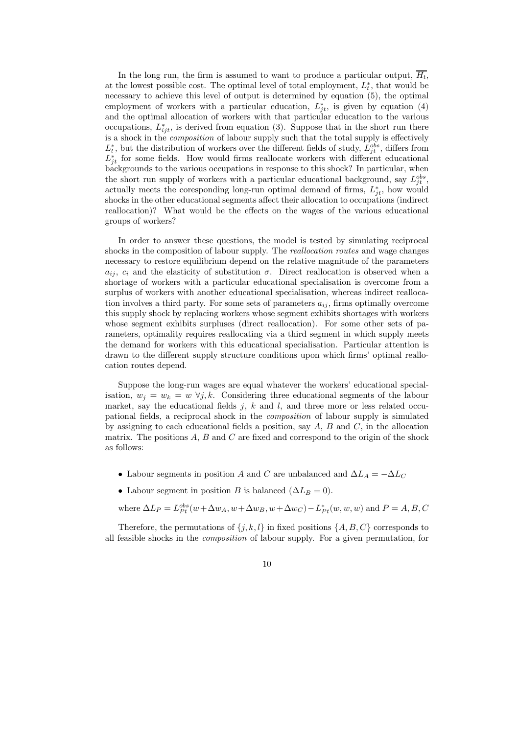In the long run, the firm is assumed to want to produce a particular output,  $\overline{H_t}$ , at the lowest possible cost. The optimal level of total employment,  $L_t^*$ , that would be necessary to achieve this level of output is determined by equation (5), the optimal employment of workers with a particular education,  $L_{it}^*$ , is given by equation (4) and the optimal allocation of workers with that particular education to the various occupations,  $L_{ijt}^*$ , is derived from equation (3). Suppose that in the short run there is a shock in the *composition* of labour supply such that the total supply is effectively  $L_t^*$ , but the distribution of workers over the different fields of study,  $L_{it}^{obs}$ , differs from  $L_{it}^*$  for some fields. How would firms reallocate workers with different educational backgrounds to the various occupations in response to this shock? In particular, when the short run supply of workers with a particular educational background, say  $L_{it}^{obs}$ , actually meets the coresponding long-run optimal demand of firms,  $L_{it}^*$ , how would shocks in the other educational segments affect their allocation to occupations (indirect reallocation)? What would be the effects on the wages of the various educational groups of workers?

In order to answer these questions, the model is tested by simulating reciprocal shocks in the composition of labour supply. The *reallocation routes* and wage changes necessary to restore equilibrium depend on the relative magnitude of the parameters  $a_{ij}$ ,  $c_i$  and the elasticity of substitution  $\sigma$ . Direct reallocation is observed when a shortage of workers with a particular educational specialisation is overcome from a surplus of workers with another educational specialisation, whereas indirect reallocation involves a third party. For some sets of parameters  $a_{ii}$ , firms optimally overcome this supply shock by replacing workers whose segment exhibits shortages with workers whose segment exhibits surpluses (direct reallocation). For some other sets of parameters, optimality requires reallocating via a third segment in which supply meets the demand for workers with this educational specialisation. Particular attention is drawn to the different supply structure conditions upon which firms' optimal reallocation routes depend.

Suppose the long-run wages are equal whatever the workers' educational specialisation,  $w_i = w_k = w \ \forall j, k$ . Considering three educational segments of the labour market, say the educational fields  $j, k$  and l, and three more or less related occupational fields, a reciprocal shock in the *composition* of labour supply is simulated by assigning to each educational fields a position, say  $A, B$  and  $C$ , in the allocation matrix. The positions  $A, B$  and  $C$  are fixed and correspond to the origin of the shock as follows:

- Labour segments in position A and C are unbalanced and  $\Delta L_A = -\Delta L_C$
- Labour segment in position B is balanced  $(\Delta L_B = 0)$ .

where  $\Delta L_P = L_{Pt}^{obs}(w + \Delta w_A, w + \Delta w_B, w + \Delta w_C) - L_{Pt}^*(w, w, w)$  and  $P = A, B, C$ 

Therefore, the permutations of  $\{j, k, l\}$  in fixed positions  $\{A, B, C\}$  corresponds to all feasible shocks in the *composition* of labour supply. For a given permutation, for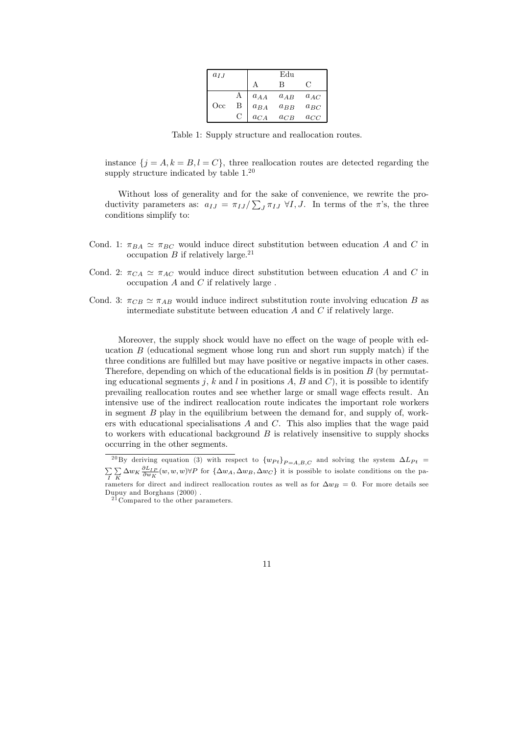| $a_{IJ}$ |   |          | Edu      |          |
|----------|---|----------|----------|----------|
|          |   |          | в        |          |
|          | А | $a_{AA}$ | $a_{AB}$ | $a_{AC}$ |
| Occ      | В | $a_{BA}$ | $a_{BB}$ | $a_{BC}$ |
|          | € | $a_{CA}$ | $a_{CB}$ | $a_{CC}$ |

Table 1: Supply structure and reallocation routes.

instance  $\{j = A, k = B, l = C\}$ , three reallocation routes are detected regarding the supply structure indicated by table  $1.^{20}$ 

Without loss of generality and for the sake of convenience, we rewrite the productivity parameters as:  $a_{IJ} = \pi_{IJ}/\sum_I \pi_{IJ} \forall I, J$ . In terms of the  $\pi$ 's, the three conditions simplify to:

- Cond. 1:  $\pi_{BA} \simeq \pi_{BC}$  would induce direct substitution between education A and C in occupation B if relatively large.<sup>21</sup>
- Cond. 2:  $\pi_{CA} \simeq \pi_{AC}$  would induce direct substitution between education A and C in occupation  $A$  and  $C$  if relatively large.
- Cond. 3:  $\pi_{CB} \simeq \pi_{AB}$  would induce indirect substitution route involving education B as intermediate substitute between education  $A$  and  $C$  if relatively large.

Moreover, the supply shock would have no effect on the wage of people with education  $B$  (educational segment whose long run and short run supply match) if the three conditions are fulfilled but may have positive or negative impacts in other cases. Therefore, depending on which of the educational fields is in position  $B$  (by permutating educational segments j, k and l in positions A, B and C), it is possible to identify prevailing reallocation routes and see whether large or small wage effects result. An intensive use of the indirect reallocation route indicates the important role workers in segment  $B$  play in the equilibrium between the demand for, and supply of, workers with educational specialisations  $A$  and  $C$ . This also implies that the wage paid to workers with educational background  $B$  is relatively insensitive to supply shocks occurring in the other segments.

<sup>&</sup>lt;sup>20</sup>By deriving equation (3) with respect to  $\{w_{Pt}\}_{P=A,B,C}$  and solving the system  $\Delta L_{Pt}$  =  $\sum_{I} \sum_{K} \Delta w_K \frac{\partial L_{I\overline{P}}}{\partial w_K}(w, w, w) \forall P$  for  $\{\Delta w_A, \Delta w_B, \Delta w_C\}$  it is possible to isolate conditions on the paraneters for direct and indirect reallocation routes as well as for  $\Delta w_B = 0$ . For more details see Dupuy and Borghans (2000).

 $21$ Compared to the other parameters.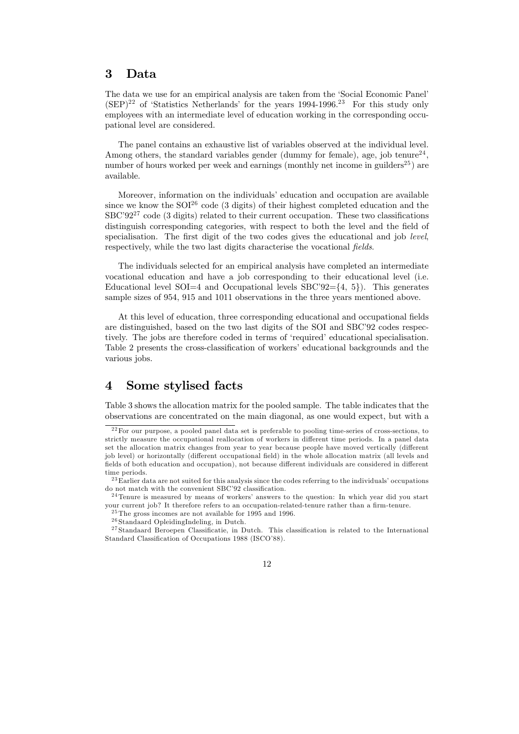#### 3 Data

The data we use for an empirical analysis are taken from the 'Social Economic Panel'  $(SEP)^{22}$  of 'Statistics Netherlands' for the years 1994-1996.<sup>23</sup> For this study only employees with an intermediate level of education working in the corresponding occupational level are considered.

The panel contains an exhaustive list of variables observed at the individual level. Among others, the standard variables gender (dummy for female), age, job tenure<sup>24</sup>, number of hours worked per week and earnings (monthly net income in guilders<sup>25</sup>) are available.

Moreover, information on the individuals' education and occupation are available since we know the  $SOI^{26}$  code (3 digits) of their highest completed education and the  $\text{SBC'} 92^{27}$  code (3 digits) related to their current occupation. These two classifications distinguish corresponding categories, with respect to both the level and the field of specialisation. The first digit of the two codes gives the educational and job level, respectively, while the two last digits characterise the vocational fields.

The individuals selected for an empirical analysis have completed an intermediate vocational education and have a job corresponding to their educational level (i.e. Educational level SOI=4 and Occupational levels  $SBC'92=\{4, 5\}$ . This generates sample sizes of 954, 915 and 1011 observations in the three years mentioned above.

At this level of education, three corresponding educational and occupational fields are distinguished, based on the two last digits of the SOI and SBC'92 codes respectively. The jobs are therefore coded in terms of 'required' educational specialisation. Table 2 presents the cross-classification of workers' educational backgrounds and the various jobs.

#### $\boldsymbol{4}$ Some stylised facts

Table 3 shows the allocation matrix for the pooled sample. The table indicates that the observations are concentrated on the main diagonal, as one would expect, but with a

 $^{24}$ Tenure is measured by means of workers' answers to the question: In which year did you start your current job? It therefore refers to an occupation-related-tenure rather than a firm-tenure.

 $^{22}$  For our purpose, a pooled panel data set is preferable to pooling time-series of cross-sections, to strictly measure the occupational reallocation of workers in different time periods. In a panel data set the allocation matrix changes from year to year because people have moved vertically (different job level) or horizontally (different occupational field) in the whole allocation matrix (all levels and fields of both education and occupation), not because different individuals are considered in different time periods.

<sup>&</sup>lt;sup>23</sup>Earlier data are not suited for this analysis since the codes referring to the individuals' occupations do not match with the convenient  ${\rm SBC'92}$  classification.

 $^{25}$ The gross incomes are not available for 1995 and 1996.

 $^{26}\mathrm{Standaard}$  Opleiding<br>Indeling, in Dutch.

 $27$ Standaard Beroepen Classificatie, in Dutch. This classification is related to the International Standard Classification of Occupations 1988 (ISCO'88).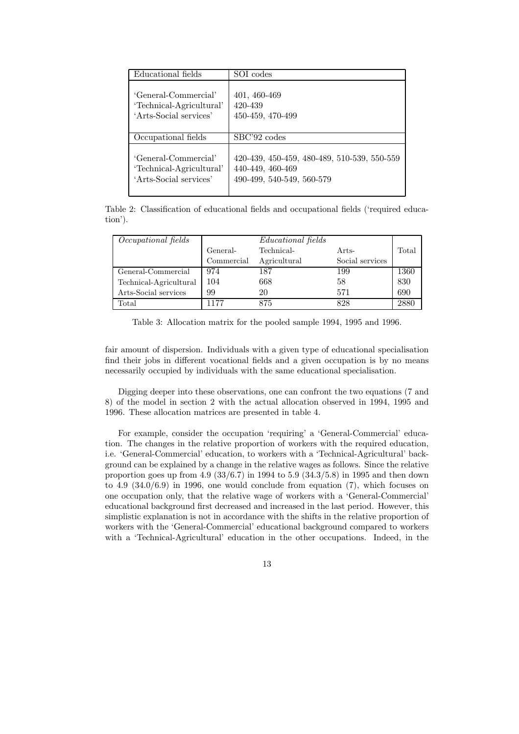| Educational fields       | SOI codes                                   |
|--------------------------|---------------------------------------------|
| 'General-Commercial'     | 401, 460-469                                |
| 'Technical-Agricultural' | 420-439                                     |
| 'Arts-Social services'   | 450-459, 470-499                            |
| Occupational fields      | SBC'92 codes                                |
| 'General-Commercial'     | 420-439, 450-459, 480-489, 510-539, 550-559 |
| 'Technical-Agricultural' | 440-449, 460-469                            |
| 'Arts-Social services'   | 490-499, 540-549, 560-579                   |

Table 2: Classification of educational fields and occupational fields ('required education').

| Occupational fields    | <i>Educational fields</i> |              |                 |       |
|------------------------|---------------------------|--------------|-----------------|-------|
|                        | General-                  | Technical-   | Arts-           | Total |
|                        | Commercial                | Agricultural | Social services |       |
| General-Commercial     | 974                       | 187          | 199             | 1360  |
| Technical-Agricultural | 104                       | 668          | 58              | 830   |
| Arts-Social services   | 99                        | 20           | 571             | 690   |
| Total                  | 1177                      | 875          | 828             | 2880  |

Table 3: Allocation matrix for the pooled sample 1994, 1995 and 1996.

fair amount of dispersion. Individuals with a given type of educational specialisation find their jobs in different vocational fields and a given occupation is by no means necessarily occupied by individuals with the same educational specialisation.

Digging deeper into these observations, one can confront the two equations (7 and 8) of the model in section 2 with the actual allocation observed in 1994, 1995 and 1996. These allocation matrices are presented in table 4.

For example, consider the occupation 'requiring' a 'General-Commercial' education. The changes in the relative proportion of workers with the required education, i.e. 'General-Commercial' education, to workers with a 'Technical-Agricultural' background can be explained by a change in the relative wages as follows. Since the relative proportion goes up from 4.9 (33/6.7) in 1994 to 5.9 (34.3/5.8) in 1995 and then down to 4.9  $(34.0/6.9)$  in 1996, one would conclude from equation  $(7)$ , which focuses on one occupation only, that the relative wage of workers with a 'General-Commercial' educational background first decreased and increased in the last period. However, this simplistic explanation is not in accordance with the shifts in the relative proportion of workers with the 'General-Commercial' educational background compared to workers with a 'Technical-Agricultural' education in the other occupations. Indeed, in the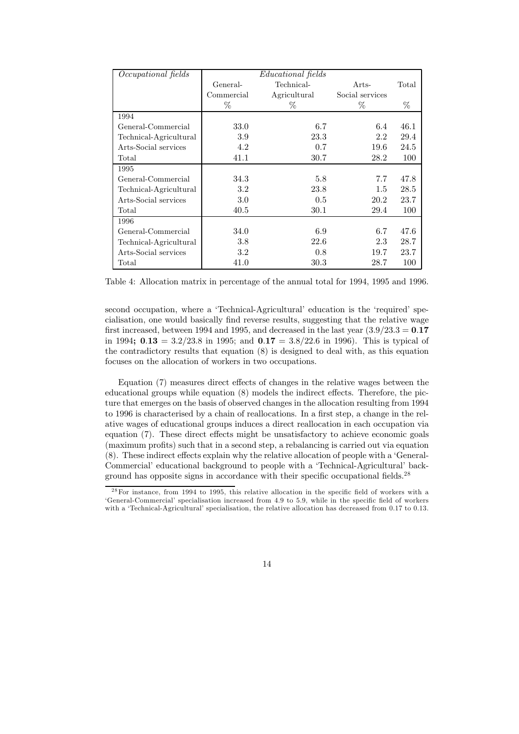| Occupational fields    |            | Educational fields |                 |       |
|------------------------|------------|--------------------|-----------------|-------|
|                        | General-   | Technical-         | Arts-           | Total |
|                        | Commercial | Agricultural       | Social services |       |
|                        | $\%$       | $\%$               | $\%$            | $\%$  |
| 1994                   |            |                    |                 |       |
| General-Commercial     | 33.0       | 6.7                | 6.4             | 46.1  |
| Technical-Agricultural | 3.9        | 23.3               | 2.2             | 29.4  |
| Arts-Social services   | 4.2        | 0.7                | 19.6            | 24.5  |
| Total                  | 41.1       | 30.7               | 28.2            | 100   |
| 1995                   |            |                    |                 |       |
| General-Commercial     | 34.3       | 5.8                | 7.7             | 47.8  |
| Technical-Agricultural | 3.2        | 23.8               | $1.5\,$         | 28.5  |
| Arts-Social services   | 3.0        | 0.5                | 20.2            | 23.7  |
| Total                  | 40.5       | $30.1\,$           | 29.4            | 100   |
| 1996                   |            |                    |                 |       |
| General-Commercial     | 34.0       | 6.9                | 6.7             | 47.6  |
| Technical-Agricultural | 3.8        | 22.6               | 2.3             | 28.7  |
| Arts-Social services   | 3.2        | 0.8                | 19.7            | 23.7  |
| Total                  | 41.0       | $30.3\,$           | 28.7            | 100   |

Table 4: Allocation matrix in percentage of the annual total for 1994, 1995 and 1996.

second occupation, where a 'Technical-Agricultural' education is the 'required' specialisation, one would basically find reverse results, suggesting that the relative wage first increased, between 1994 and 1995, and decreased in the last year  $(3.9/23.3 = 0.17$ in 1994;  $0.13 = 3.2/23.8$  in 1995; and  $0.17 = 3.8/22.6$  in 1996). This is typical of the contradictory results that equation (8) is designed to deal with, as this equation focuses on the allocation of workers in two occupations.

Equation (7) measures direct effects of changes in the relative wages between the educational groups while equation (8) models the indirect effects. Therefore, the picture that emerges on the basis of observed changes in the allocation resulting from 1994 to 1996 is characterised by a chain of reallocations. In a first step, a change in the relative wages of educational groups induces a direct reallocation in each occupation via equation (7). These direct effects might be unsatisfactory to achieve economic goals (maximum profits) such that in a second step, a rebalancing is carried out via equation (8). These indirect effects explain why the relative allocation of people with a 'General-Commercial' educational background to people with a 'Technical-Agricultural' background has opposite signs in accordance with their specific occupational fields.<sup>28</sup>

 $^{28}$  For instance, from 1994 to 1995, this relative allocation in the specific field of workers with a 'General-Commercial' specialisation increased from 4.9 to 5.9, while in the specific field of workers with a 'Technical-Agricultural' specialisation, the relative allocation has decreased from 0.17 to 0.13.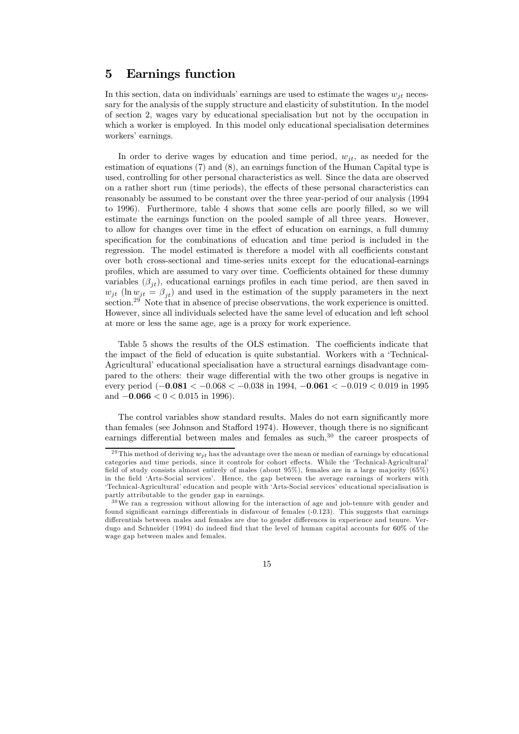#### 5 Earnings function

In this section, data on individuals' earnings are used to estimate the wages  $w_{it}$  necessary for the analysis of the supply structure and elasticity of substitution. In the model of section 2, wages vary by educational specialisation but not by the occupation in which a worker is employed. In this model only educational specialisation determines workers' earnings.

In order to derive wages by education and time period,  $w_{it}$ , as needed for the estimation of equations  $(7)$  and  $(8)$ , an earnings function of the Human Capital type is used, controlling for other personal characteristics as well. Since the data are observed on a rather short run (time periods), the effects of these personal characteristics can reasonably be assumed to be constant over the three year-period of our analysis (1994) to 1996). Furthermore, table 4 shows that some cells are poorly filled, so we will estimate the earnings function on the pooled sample of all three years. However, to allow for changes over time in the effect of education on earnings, a full dummy specification for the combinations of education and time period is included in the regression. The model estimated is therefore a model with all coefficients constant over both cross-sectional and time-series units except for the educational-earnings profiles, which are assumed to vary over time. Coefficients obtained for these dummy variables  $(\beta_{it})$ , educational earnings profiles in each time period, are then saved in  $w_{jt}$  (ln  $w_{jt} = \beta_{jt}$ ) and used in the estimation of the supply parameters in the next section.<sup>29</sup> Note that in absence of precise observations, the work experience is omitted. However, since all individuals selected have the same level of education and left school at more or less the same age, age is a proxy for work experience.

Table 5 shows the results of the OLS estimation. The coefficients indicate that the impact of the field of education is quite substantial. Workers with a 'Technical-Agricultural' educational specialisation have a structural earnings disadvantage compared to the others: their wage differential with the two other groups is negative in every period  $(-0.081 < -0.068 < -0.038$  in 1994,  $-0.061 < -0.019 < 0.019$  in 1995 and  $-0.066 < 0 < 0.015$  in 1996).

The control variables show standard results. Males do not earn significantly more than females (see Johnson and Stafford 1974). However, though there is no significant earnings differential between males and females as such.<sup>30</sup> the career prospects of

 $29$ This method of deriving  $w_{jt}$  has the advantage over the mean or median of earnings by educational categories and time periods, since it controls for cohort effects. While the 'Technical-Agricultural' field of study consists almost entirely of males (about 95%), females are in a large majority (65%) in the field 'Arts-Social services'. Hence, the gap between the average earnings of workers with 'Technical-Agricultural' education and people with 'Arts-Social services' educational specialisation is partly attributable to the gender gap in earnings.

 $30\,\text{We}$  ran a regression without allowing for the interaction of age and job-tenure with gender and found significant earnings differentials in disfavour of females (-0.123). This suggests that earnings differentials between males and females are due to gender differences in experience and tenure. Verdugo and Schneider (1994) do indeed find that the level of human capital accounts for 60% of the wage gap between males and females.

<sup>15</sup>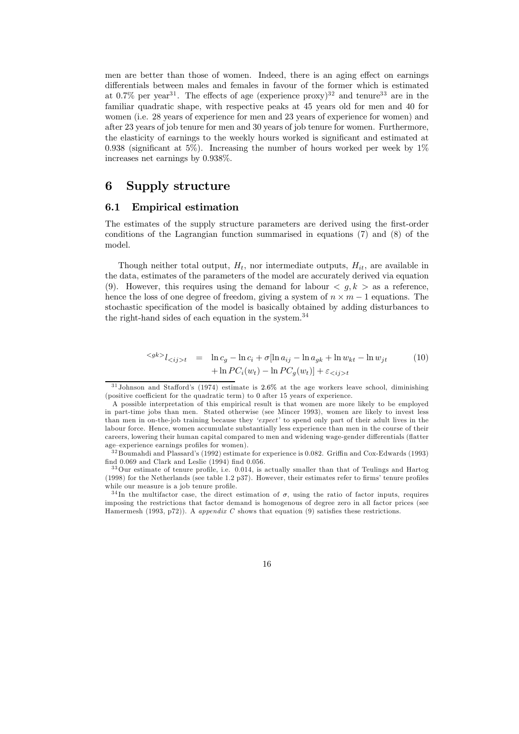men are better than those of women. Indeed, there is an aging effect on earnings differentials between males and females in favour of the former which is estimated at 0.7% per year<sup>31</sup>. The effects of age (experience proxy)<sup>32</sup> and tenure<sup>33</sup> are in the familiar quadratic shape, with respective peaks at 45 years old for men and 40 for women (i.e. 28 years of experience for men and 23 years of experience for women) and after 23 years of job tenure for men and 30 years of job tenure for women. Furthermore, the elasticity of earnings to the weekly hours worked is significant and estimated at 0.938 (significant at 5%). Increasing the number of hours worked per week by  $1\%$ increases net earnings by 0.938%.

#### 6 Supply structure

#### **Empirical estimation**  $6.1$

The estimates of the supply structure parameters are derived using the first-order conditions of the Lagrangian function summarised in equations (7) and (8) of the model.

Though neither total output,  $H_t$ , nor intermediate outputs,  $H_{it}$ , are available in the data, estimates of the parameters of the model are accurately derived via equation (9). However, this requires using the demand for labour  $\langle g, k \rangle$  as a reference, hence the loss of one degree of freedom, giving a system of  $n \times m - 1$  equations. The stochastic specification of the model is basically obtained by adding disturbances to the right-hand sides of each equation in the system.<sup>34</sup>

$$
\langle g^{k} \rangle_{\langle i,j \rangle t} = \ln c_g - \ln c_i + \sigma [\ln a_{ij} - \ln a_{gk} + \ln w_{kt} - \ln w_{jt} \tag{10}
$$

$$
+ \ln PC_i(w_t) - \ln PC_q(w_t)] + \varepsilon_{\langle i \rangle t}
$$

 $31$ Johnson and Stafford's (1974) estimate is 2.6% at the age workers leave school, diminishing (positive coefficient for the quadratic term) to 0 after 15 years of experience.

A possible interpretation of this empirical result is that women are more likely to be employed in part-time jobs than men. Stated otherwise (see Mincer 1993), women are likely to invest less than men in on-the-job training because they 'expect' to spend only part of their adult lives in the labour force. Hence, women accumulate substantially less experience than men in the course of their careers, lowering their human capital compared to men and widening wage-gender differentials (flatter age-experience earnings profiles for women).

 $32$  Boumahdi and Plassard's (1992) estimate for experience is 0.082. Griffin and Cox-Edwards (1993) find 0.069 and Clark and Leslie (1994) find 0.056.

<sup>&</sup>lt;sup>33</sup>Our estimate of tenure profile, i.e. 0.014, is actually smaller than that of Teulings and Hartog  $(1998)$  for the Netherlands (see table 1.2 p37). However, their estimates refer to firms' tenure profiles while our measure is a job tenure profile.

<sup>&</sup>lt;sup>34</sup>In the multifactor case, the direct estimation of  $\sigma$ , using the ratio of factor inputs, requires imposing the restrictions that factor demand is homogenous of degree zero in all factor prices (see Hamermesh (1993, p72)). A appendix C shows that equation (9) satisfies these restrictions.

<sup>16</sup>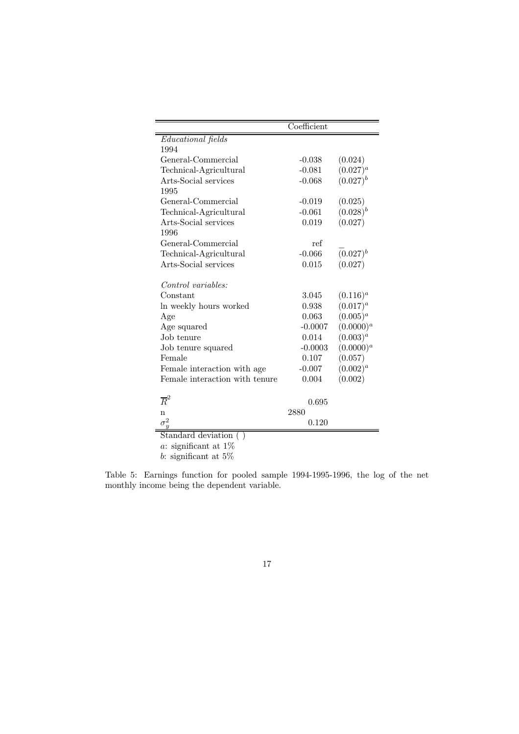|                                | Coefficient |                |
|--------------------------------|-------------|----------------|
| <b>Educational</b> fields      |             |                |
| 1994                           |             |                |
| General-Commercial             | $-0.038$    | (0.024)        |
| Technical-Agricultural         | $-0.081$    | $(0.027)^{a}$  |
| Arts-Social services           | $-0.068$    | $(0.027)^{b}$  |
| 1995                           |             |                |
| General-Commercial             | $-0.019$    | (0.025)        |
| Technical-Agricultural         | $-0.061$    | $(0.028)^{b}$  |
| Arts-Social services           | 0.019       | (0.027)        |
| 1996                           |             |                |
| General-Commercial             | ref         |                |
| Technical-Agricultural         | $-0.066$    | $(0.027)^{b}$  |
| Arts-Social services           | 0.015       | (0.027)        |
| Control variables:             |             |                |
| Constant                       | 3.045       | $(0.116)^{a}$  |
| In weekly hours worked         | 0.938       | $(0.017)^{a}$  |
| Age                            | 0.063       | $(0.005)^{a}$  |
| Age squared                    | $-0.0007$   | $(0.0000)^{a}$ |
| Job tenure                     | 0.014       | $(0.003)^{a}$  |
| Job tenure squared             | $-0.0003$   | $(0.0000)^{a}$ |
| Female                         | 0.107       | (0.057)        |
| Female interaction with age    | $-0.007$    | $(0.002)^{a}$  |
| Female interaction with tenure | 0.004       | (0.002)        |
| $\overline{R}^2$               | 0.695       |                |
| n                              | 2880        |                |
|                                | 0.120       |                |

Standard deviation  $( )$ 

 $a:$  significant at  $1\%$ 

 $b\!\!$  significant at  $5\%$ 

Table 5: Earnings function for pooled sample 1994-1995-1996, the log of the net monthly income being the dependent variable.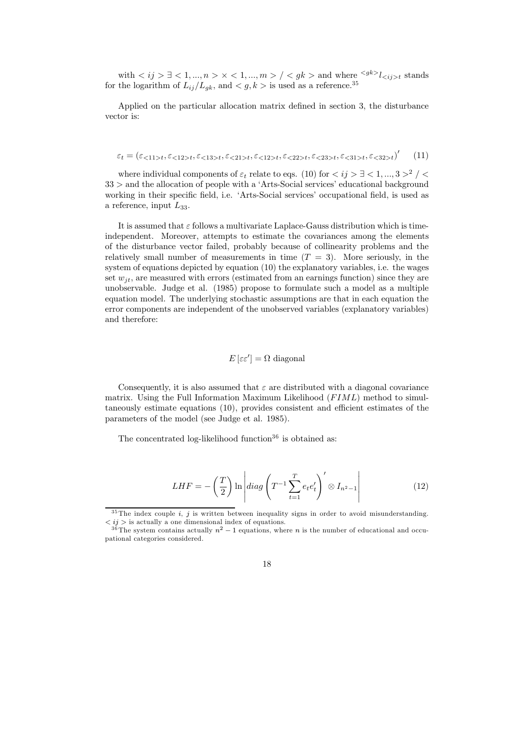with  $\langle i j \rangle \exists \langle 1, ..., n \rangle \times \langle 1, ..., m \rangle / \langle g k \rangle$  and where  $\langle g k \rangle l_{\langle i j \rangle t}$  stands for the logarithm of  $L_{ij}/L_{gk}$ , and  $\langle g, k \rangle$  is used as a reference.<sup>35</sup>

Applied on the particular allocation matrix defined in section 3, the disturbance vector is:

$$
\varepsilon_t = (\varepsilon_{\le 11 > t}, \varepsilon_{\le 12 > t}, \varepsilon_{\le 13 > t}, \varepsilon_{\le 21 > t}, \varepsilon_{\le 12 > t}, \varepsilon_{\le 22 > t}, \varepsilon_{\le 33 > t}, \varepsilon_{\le 31 > t}, \varepsilon_{\le 32 > t})' \tag{11}
$$

where individual components of  $\varepsilon_t$  relate to eqs. (10) for  $\langle i j \rangle \exists \langle 1, ..., 3 \rangle^2$  /  $33$  > and the allocation of people with a 'Arts-Social services' educational background working in their specific field, i.e. 'Arts-Social services' occupational field, is used as a reference, input  $L_{33}$ .

It is assumed that  $\varepsilon$  follows a multivariate Laplace-Gauss distribution which is timeindependent. Moreover, attempts to estimate the covariances among the elements of the disturbance vector failed, probably because of collinearity problems and the relatively small number of measurements in time  $(T = 3)$ . More seriously, in the system of equations depicted by equation (10) the explanatory variables, i.e. the wages set  $w_{it}$ , are measured with errors (estimated from an earnings function) since they are unobservable. Judge et al. (1985) propose to formulate such a model as a multiple equation model. The underlying stochastic assumptions are that in each equation the error components are independent of the unobserved variables (explanatory variables) and therefore:

$$
E\left[\varepsilon\varepsilon'\right] = \Omega \text{ diagonal}
$$

Consequently, it is also assumed that  $\varepsilon$  are distributed with a diagonal covariance matrix. Using the Full Information Maximum Likelihood  $(FIML)$  method to simultaneously estimate equations (10), provides consistent and efficient estimates of the parameters of the model (see Judge et al. 1985).

The concentrated log-likelihood function<sup>36</sup> is obtained as:

$$
LHF = -\left(\frac{T}{2}\right) \ln \left| diag\left(T^{-1} \sum_{t=1}^{T} e_t e_t'\right)' \otimes I_{n^2 - 1} \right| \tag{12}
$$

 $35$  The index couple i, j is written between inequality signs in order to avoid misunderstanding.  $\langle i j \rangle$  is actually a one dimensional index of equations.<br> $\langle i j \rangle$  is actually a one dimensional index of equations.<br> $\frac{36}{\text{The system contains actually } n^2 - 1}$  equations, where *n* is the number of educational and occu-

pational categories considered.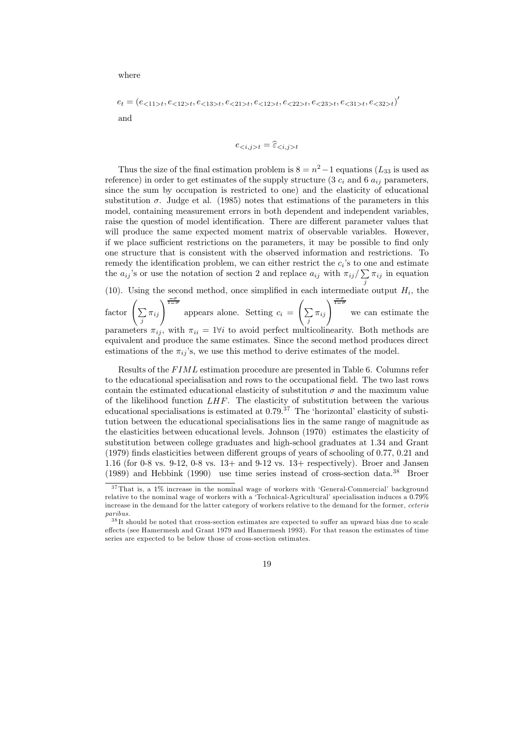where

$$
e_t = (e_{\langle 11 \rangle t}, e_{\langle 12 \rangle t}, e_{\langle 13 \rangle t}, e_{\langle 21 \rangle t}, e_{\langle 12 \rangle t}, e_{\langle 22 \rangle t}, e_{\langle 23 \rangle t}, e_{\langle 31 \rangle t}, e_{\langle 32 \rangle t})'
$$
  
and

$$
e_{\langle i,j \rangle t} = \widehat{\varepsilon}_{\langle i,j \rangle t}
$$

Thus the size of the final estimation problem is  $8 = n^2 - 1$  equations ( $L_{33}$  is used as reference) in order to get estimates of the supply structure (3  $c_i$  and 6  $a_{ij}$  parameters, since the sum by occupation is restricted to one) and the elasticity of educational substitution  $\sigma$ . Judge et al. (1985) notes that estimations of the parameters in this model, containing measurement errors in both dependent and independent variables, raise the question of model identification. There are different parameter values that will produce the same expected moment matrix of observable variables. However, if we place sufficient restrictions on the parameters, it may be possible to find only one structure that is consistent with the observed information and restrictions. To remedy the identification problem, we can either restrict the  $c_i$ 's to one and estimate the  $a_{ij}$ 's or use the notation of section 2 and replace  $a_{ij}$  with  $\pi_{ij}/\sum \pi_{ij}$  in equation (10). Using the second method, once simplified in each intermediate output  $H_i$ , the

factor  $\left(\sum_{j} \pi_{ij}\right)^{\frac{\sigma}{1-\sigma}}$  appears alone. Setting  $c_i = \left(\sum_{j} \pi_{ij}\right)^{\frac{\sigma}{1-\sigma}}$  we can estimate the parameters  $\pi_{ij}$ , with  $\pi_{ii} = 1\forall i$  to avoid perfect multicolinearity. Both methods are equivalent and produce the same estimates. Since the second method produces direct estimations of the  $\pi_{ij}$ 's, we use this method to derive estimates of the model.

Results of the FIML estimation procedure are presented in Table 6. Columns refer to the educational specialisation and rows to the occupational field. The two last rows contain the estimated educational elasticity of substitution  $\sigma$  and the maximum value of the likelihood function  $LHF$ . The elasticity of substitution between the various educational specialisations is estimated at  $0.79<sup>37</sup>$ . The 'horizontal' elasticity of substitution between the educational specialisations lies in the same range of magnitude as the elasticities between educational levels. Johnson (1970) estimates the elasticity of substitution between college graduates and high-school graduates at 1.34 and Grant  $(1979)$  finds elasticities between different groups of years of schooling of 0.77, 0.21 and 1.16 (for 0-8 vs. 9-12, 0-8 vs. 13+ and 9-12 vs. 13+ respectively). Broer and Jansen (1989) and Hebbink (1990) use time series instead of cross-section data.<sup>38</sup> Broer

 $37$ That is, a 1% increase in the nominal wage of workers with 'General-Commercial' background relative to the nominal wage of workers with a 'Technical-Agricultural' specialisation induces a 0.79% increase in the demand for the latter category of workers relative to the demand for the former, ceteris paribus.

<sup>&</sup>lt;sup>38</sup>It should be noted that cross-section estimates are expected to suffer an upward bias due to scale effects (see Hamermesh and Grant 1979 and Hamermesh 1993). For that reason the estimates of time series are expected to be below those of cross-section estimates.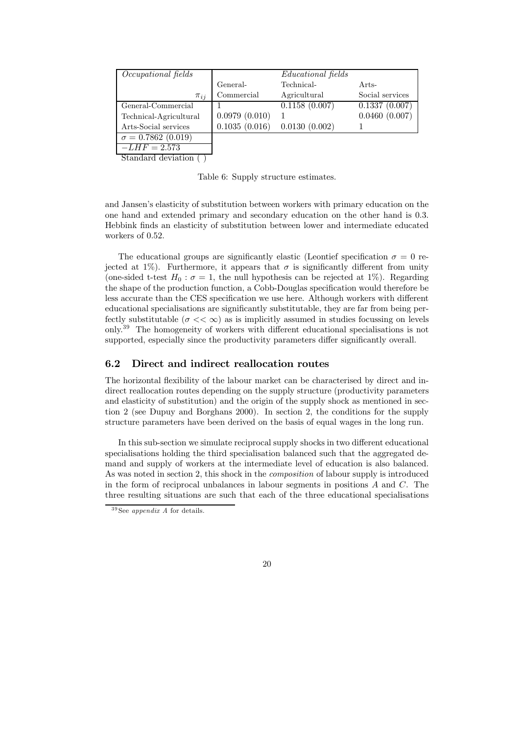| Occupational fields      |               | <i>Educational</i> fields |                 |
|--------------------------|---------------|---------------------------|-----------------|
|                          | General-      | Technical-                | Arts-           |
| $\pi_{ii}$               | Commercial    | Agricultural              | Social services |
| General-Commercial       |               | 0.1158(0.007)             | 0.1337(0.007)   |
| Technical-Agricultural   | 0.0979(0.010) |                           | 0.0460(0.007)   |
| Arts-Social services     | 0.1035(0.016) | 0.0130(0.002)             |                 |
| $\sigma = 0.7862(0.019)$ |               |                           |                 |
| $-LHF = 2.573$           |               |                           |                 |

Standard deviation ()

Table 6: Supply structure estimates.

and Jansen's elasticity of substitution between workers with primary education on the one hand and extended primary and secondary education on the other hand is 0.3. Hebbink finds an elasticity of substitution between lower and intermediate educated workers of 0.52.

The educational groups are significantly elastic (Leontief specification  $\sigma = 0$  rejected at 1%). Furthermore, it appears that  $\sigma$  is significantly different from unity (one-sided t-test  $H_0$ :  $\sigma = 1$ , the null hypothesis can be rejected at 1%). Regarding the shape of the production function, a Cobb-Douglas specification would therefore be less accurate than the CES specification we use here. Although workers with different educational specialisations are significantly substitutable, they are far from being perfectly substitutable  $(\sigma \ll \infty)$  as is implicitly assumed in studies focussing on levels only.<sup>39</sup> The homogeneity of workers with different educational specialisations is not supported, especially since the productivity parameters differ significantly overall.

#### $6.2$ Direct and indirect reallocation routes

The horizontal flexibility of the labour market can be characterised by direct and indirect reallocation routes depending on the supply structure (productivity parameters and elasticity of substitution) and the origin of the supply shock as mentioned in section  $2$  (see Dupuy and Borghans 2000). In section 2, the conditions for the supply structure parameters have been derived on the basis of equal wages in the long run.

In this sub-section we simulate reciprocal supply shocks in two different educational specialisations holding the third specialisation balanced such that the aggregated demand and supply of workers at the intermediate level of education is also balanced. As was noted in section 2, this shock in the *composition* of labour supply is introduced in the form of reciprocal unbalances in labour segments in positions  $A$  and  $C$ . The three resulting situations are such that each of the three educational specialisations

 $39$ See appendix A for details.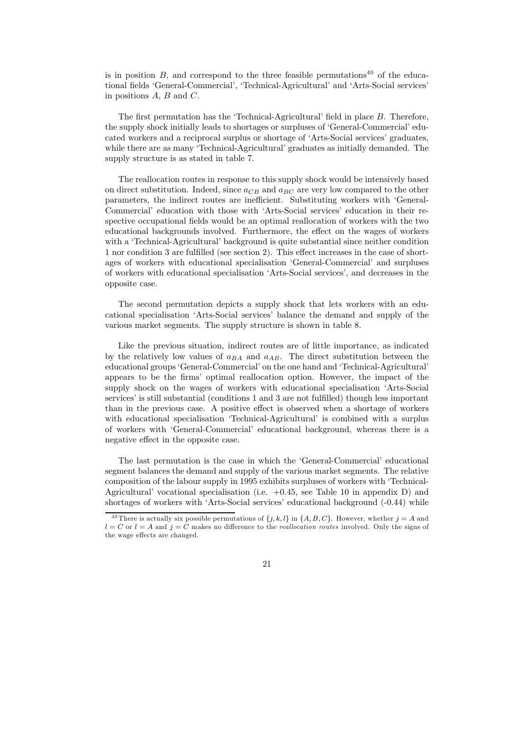is in position  $B$ , and correspond to the three feasible permutations<sup>40</sup> of the educational fields 'General-Commercial', 'Technical-Agricultural' and 'Arts-Social services' in positions  $A, B$  and  $C$ .

The first permutation has the 'Technical-Agricultural' field in place B. Therefore, the supply shock initially leads to shortages or surpluses of 'General-Commercial' educated workers and a reciprocal surplus or shortage of 'Arts-Social services' graduates, while there are as many 'Technical-Agricultural' graduates as initially demanded. The supply structure is as stated in table 7.

The reallocation routes in response to this supply shock would be intensively based on direct substitution. Indeed, since  $a_{CB}$  and  $a_{BC}$  are very low compared to the other parameters, the indirect routes are inefficient. Substituting workers with 'General-Commercial' education with those with 'Arts-Social services' education in their respective occupational fields would be an optimal reallocation of workers with the two educational backgrounds involved. Furthermore, the effect on the wages of workers with a 'Technical-Agricultural' background is quite substantial since neither condition 1 nor condition 3 are fulfilled (see section 2). This effect increases in the case of shortages of workers with educational specialisation 'General-Commercial' and surpluses of workers with educational specialisation 'Arts-Social services', and decreases in the opposite case.

The second permutation depicts a supply shock that lets workers with an educational specialisation 'Arts-Social services' balance the demand and supply of the various market segments. The supply structure is shown in table 8.

Like the previous situation, indirect routes are of little importance, as indicated by the relatively low values of  $a_{BA}$  and  $a_{AB}$ . The direct substitution between the educational groups 'General-Commercial' on the one hand and 'Technical-Agricultural' appears to be the firms' optimal reallocation option. However, the impact of the supply shock on the wages of workers with educational specialisation 'Arts-Social services' is still substantial (conditions 1 and 3 are not fulfilled) though less important than in the previous case. A positive effect is observed when a shortage of workers with educational specialisation 'Technical-Agricultural' is combined with a surplus of workers with 'General-Commercial' educational background, whereas there is a negative effect in the opposite case.

The last permutation is the case in which the 'General-Commercial' educational segment balances the demand and supply of the various market segments. The relative composition of the labour supply in 1995 exhibits surpluses of workers with 'Technical-Agricultural' vocational specialisation (i.e.  $+0.45$ , see Table 10 in appendix D) and shortages of workers with 'Arts-Social services' educational background (-0.44) while

<sup>&</sup>lt;sup>40</sup>There is actually six possible permutations of  $\{j, k, l\}$  in  $\{A, B, C\}$ . However, whether  $j = A$  and  $l = C$  or  $l = A$  and  $j = C$  makes no difference to the *reallocation routes* involved. Only the signs of the wage effects are changed.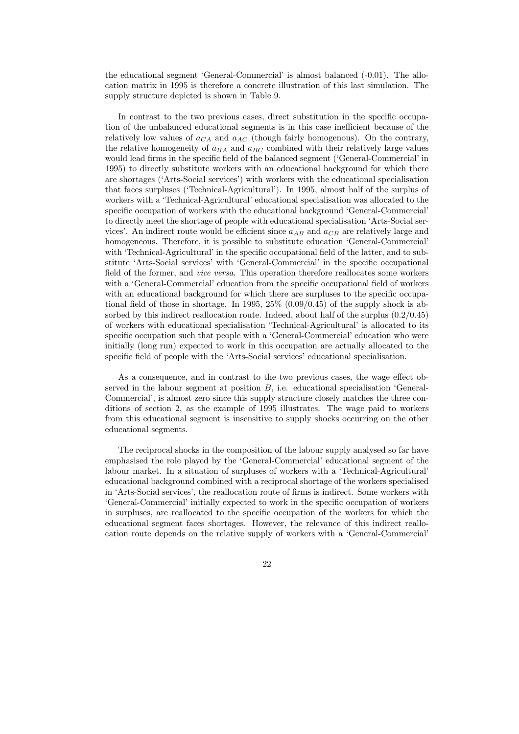the educational segment 'General-Commercial' is almost balanced (-0.01). The allocation matrix in 1995 is therefore a concrete illustration of this last simulation. The supply structure depicted is shown in Table 9.

In contrast to the two previous cases, direct substitution in the specific occupation of the unbalanced educational segments is in this case inefficient because of the relatively low values of  $a_{CA}$  and  $a_{AC}$  (though fairly homogenous). On the contrary, the relative homogeneity of  $a_{BA}$  and  $a_{BC}$  combined with their relatively large values would lead firms in the specific field of the balanced segment ('General-Commercial' in 1995) to directly substitute workers with an educational background for which there are shortages ('Arts-Social services') with workers with the educational specialisation that faces surpluses ('Technical-Agricultural'). In 1995, almost half of the surplus of workers with a 'Technical-Agricultural' educational specialisation was allocated to the specific occupation of workers with the educational background 'General-Commercial' to directly meet the shortage of people with educational specialisation 'Arts-Social services'. An indirect route would be efficient since  $a_{AB}$  and  $a_{CB}$  are relatively large and homogeneous. Therefore, it is possible to substitute education 'General-Commercial' with 'Technical-Agricultural' in the specific occupational field of the latter, and to substitute 'Arts-Social services' with 'General-Commercial' in the specific occupational field of the former, and *vice versa*. This operation therefore reallocates some workers with a 'General-Commercial' education from the specific occupational field of workers with an educational background for which there are surpluses to the specific occupational field of those in shortage. In 1995,  $25\%$  (0.09/0.45) of the supply shock is absorbed by this indirect reallocation route. Indeed, about half of the surplus  $(0.2/0.45)$ of workers with educational specialisation 'Technical-Agricultural' is allocated to its specific occupation such that people with a 'General-Commercial' education who were initially (long run) expected to work in this occupation are actually allocated to the specific field of people with the 'Arts-Social services' educational specialisation.

As a consequence, and in contrast to the two previous cases, the wage effect observed in the labour segment at position  $B$ , i.e. educational specialisation 'General-Commercial', is almost zero since this supply structure closely matches the three conditions of section 2, as the example of 1995 illustrates. The wage paid to workers from this educational segment is insensitive to supply shocks occurring on the other educational segments.

The reciprocal shocks in the composition of the labour supply analysed so far have emphasised the role played by the 'General-Commercial' educational segment of the labour market. In a situation of surpluses of workers with a 'Technical-Agricultural' educational background combined with a reciprocal shortage of the workers specialised in 'Arts-Social services', the reallocation route of firms is indirect. Some workers with 'General-Commercial' initially expected to work in the specific occupation of workers in surpluses, are reallocated to the specific occupation of the workers for which the educational segment faces shortages. However, the relevance of this indirect reallocation route depends on the relative supply of workers with a 'General-Commercial'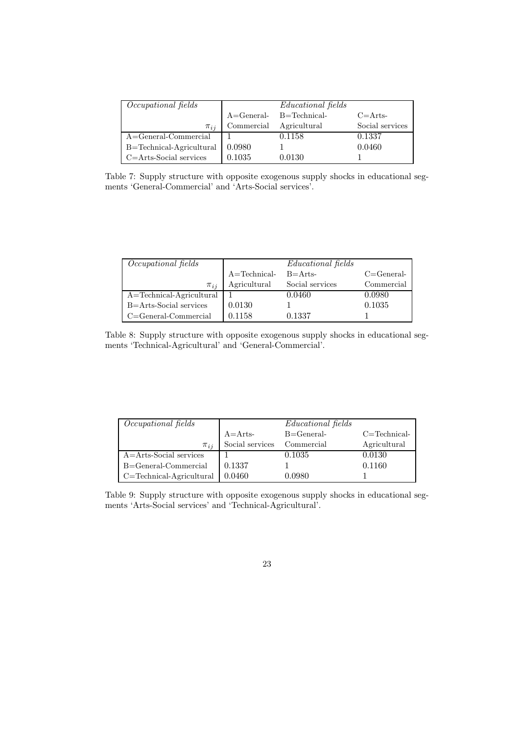| <i>Occupational fields</i> |               | <i>Educational fields</i> |                 |
|----------------------------|---------------|---------------------------|-----------------|
|                            | $A = General$ | $B = Technical-$          | $C = Arts -$    |
| $\pi_{ii}$                 | Commercial    | Agricultural              | Social services |
| A=General-Commercial       |               | 0.1158                    | 0.1337          |
| B=Technical-Agricultural   | 0.0980        |                           | 0.0460          |
| $C = Arts-Social$ services | 0.1035        | 0.0130                    |                 |

Table 7: Supply structure with opposite exogenous supply shocks in educational segments 'General-Commercial' and 'Arts-Social services'.

| Occupational fields          |                  | <i>Educational</i> fields |               |
|------------------------------|------------------|---------------------------|---------------|
|                              | $A = Technical-$ | $B = Arts$                | $C = General$ |
| $\pi_{ii}$                   | Agricultural     | Social services           | Commercial    |
| $A = Technical-Agricultural$ |                  | 0.0460                    | 0.0980        |
| B=Arts-Social services       | 0.0130           |                           | 0.1035        |
| $C = General-Comment$        | 0.1158           | 0.1337                    |               |

Table 8: Supply structure with opposite exogenous supply shocks in educational segments 'Technical-Agricultural' and 'General-Commercial'.

| Occupational fields          |                 | <i>Educational</i> fields |                 |
|------------------------------|-----------------|---------------------------|-----------------|
|                              | $A =$ Arts-     | $B = General$             | $C = Technical$ |
| $\pi_{ii}$                   | Social services | Commercial                | Agricultural    |
| $A = Arts-Social$ services   |                 | 0.1035                    | 0.0130          |
| B=General-Commercial         | 0.1337          |                           | 0.1160          |
| $C = Technical-Agricultural$ | 0.0460          | 0.0980                    |                 |

Table 9: Supply structure with opposite exogenous supply shocks in educational segments 'Arts-Social services' and 'Technical-Agricultural'.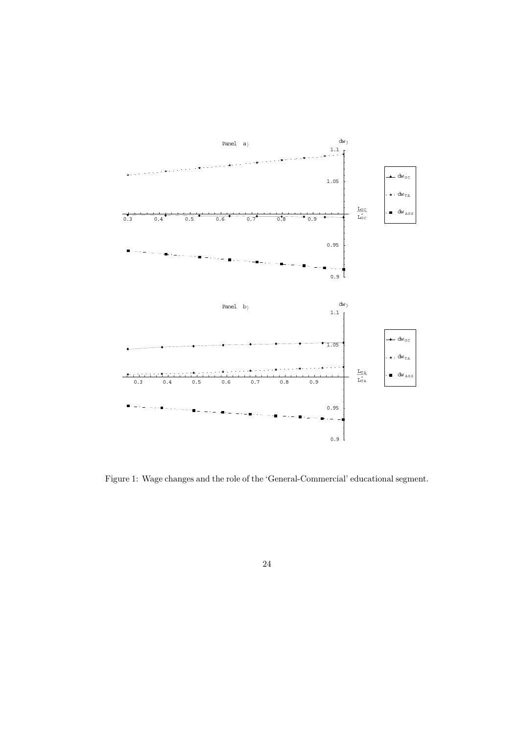

Figure 1: Wage changes and the role of the 'General-Commercial' educational segment.

 $24\,$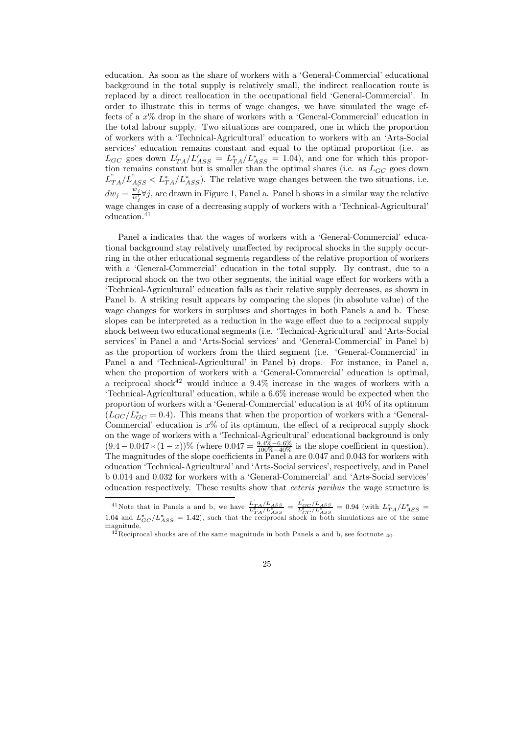education. As soon as the share of workers with a 'General-Commercial' educational background in the total supply is relatively small, the indirect reallocation route is replaced by a direct reallocation in the occupational field 'General-Commercial'. In order to illustrate this in terms of wage changes, we have simulated the wage effects of a  $x\%$  drop in the share of workers with a 'General-Commercial' education in the total labour supply. Two situations are compared, one in which the proportion of workers with a 'Technical-Agricultural' education to workers with an 'Arts-Social services' education remains constant and equal to the optimal proportion (i.e. as  $L_{GC}$  goes down  $L'_{TA}/L'_{ASS} = L^*_{TA}/L^*_{ASS} = 1.04$ , and one for which this proportion remains constant but is smaller than the optimal shares (i.e. as  $L_{GC}$  goes down  $L_{TA}^{''}/L_{ASS}^{''} < L_{TA}^{*}/L_{ASS}^{*}$ ). The relative wage changes between the two situations, i.e.  $dw_j = \frac{w_j}{w_j} \forall j$ , are drawn in Figure 1, Panel a. Panel b shows in a similar way the relative wage changes in case of a decreasing supply of workers with a 'Technical-Agricultural' education. $41$ 

Panel a indicates that the wages of workers with a 'General-Commercial' educational background stay relatively unaffected by reciprocal shocks in the supply occurring in the other educational segments regardless of the relative proportion of workers with a 'General-Commercial' education in the total supply. By contrast, due to a reciprocal shock on the two other segments, the initial wage effect for workers with a 'Technical-Agricultural' education falls as their relative supply decreases, as shown in Panel b. A striking result appears by comparing the slopes (in absolute value) of the wage changes for workers in surpluses and shortages in both Panels a and b. These slopes can be interpreted as a reduction in the wage effect due to a reciprocal supply shock between two educational segments (i.e. 'Technical-Agricultural' and 'Arts-Social services' in Panel a and 'Arts-Social services' and 'General-Commercial' in Panel b) as the proportion of workers from the third segment (i.e. 'General-Commercial' in Panel a and 'Technical-Agricultural' in Panel b) drops. For instance, in Panel a, when the proportion of workers with a 'General-Commercial' education is optimal, a reciprocal shock<sup>42</sup> would induce a  $9.4\%$  increase in the wages of workers with a 'Technical-Agricultural' education, while a 6.6% increase would be expected when the proportion of workers with a 'General-Commercial' education is at  $40\%$  of its optimum  $(L_{GC}/L_{GC}^* = 0.4)$ . This means that when the proportion of workers with a 'General-Commercial' education is  $x\%$  of its optimum, the effect of a reciprocal supply shock on the wage of workers with a 'Technical-Agricultural' educational background is only  $(9.4-0.047*(1-x))\%$  (where  $0.047 = \frac{9.4\% - 6.6\%}{100\% - 40\%}$  is the slope coefficient in question). The magnitudes of the slope coefficients in Panel a are 0.047 and 0.043 for workers with education 'Technical-Agricultural' and 'Arts-Social services', respectively, and in Panel b 0.014 and 0.032 for workers with a 'General-Commercial' and 'Arts-Social services' education respectively. These results show that *ceteris paribus* the wage structure is

<sup>&</sup>lt;sup>41</sup>Note that in Panels a and b, we have  $\frac{L_{TA}^{r}/L_{ASS}^{r}}{L_{TA}^{*}/L_{ASS}^{*}} = \frac{L_{GC}^{r}/L_{ASS}^{*}}{L_{GC}^{*}/L_{ASS}^{*}} = 0.94$  (with  $L_{TA}^{*}/L_{ASS}^{*} = 1.04$  and  $L_{GC}^{*}/L_{ASS}^{*} = 1.42$ ), such that the reciprocal shock in both simulatio magnitude.

 $^{42}$ Reciprocal shocks are of the same magnitude in both Panels a and b, see footnote  $_{40}$ .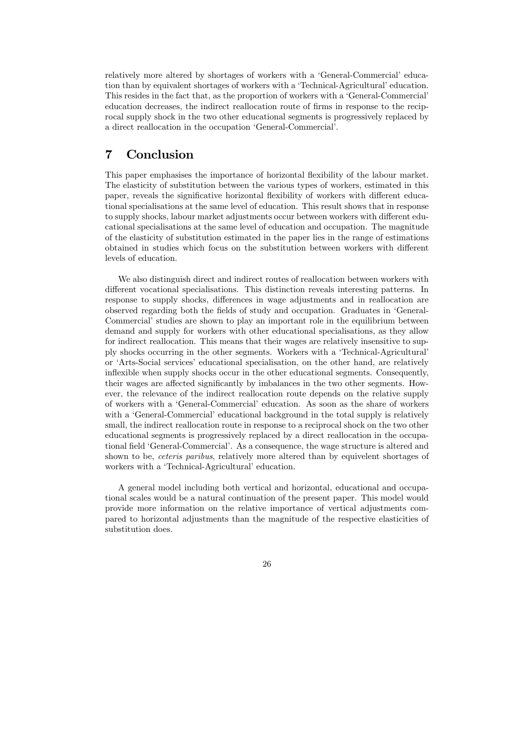relatively more altered by shortages of workers with a 'General-Commercial' education than by equivalent shortages of workers with a 'Technical-Agricultural' education. This resides in the fact that, as the proportion of workers with a 'General-Commercial' education decreases, the indirect reallocation route of firms in response to the reciprocal supply shock in the two other educational segments is progressively replaced by a direct reallocation in the occupation 'General-Commercial'.

#### $\overline{7}$ Conclusion

This paper emphasises the importance of horizontal flexibility of the labour market. The elasticity of substitution between the various types of workers, estimated in this paper, reveals the significative horizontal flexibility of workers with different educational specialisations at the same level of education. This result shows that in response to supply shocks, labour market adjustments occur between workers with different educational specialisations at the same level of education and occupation. The magnitude of the elasticity of substitution estimated in the paper lies in the range of estimations obtained in studies which focus on the substitution between workers with different levels of education.

We also distinguish direct and indirect routes of reallocation between workers with different vocational specialisations. This distinction reveals interesting patterns. In response to supply shocks, differences in wage adjustments and in reallocation are observed regarding both the fields of study and occupation. Graduates in 'General-Commercial' studies are shown to play an important role in the equilibrium between demand and supply for workers with other educational specialisations, as they allow for indirect reallocation. This means that their wages are relatively insensitive to supply shocks occurring in the other segments. Workers with a 'Technical-Agricultural' or 'Arts-Social services' educational specialisation, on the other hand, are relatively inflexible when supply shocks occur in the other educational segments. Consequently, their wages are affected significantly by imbalances in the two other segments. However, the relevance of the indirect reallocation route depends on the relative supply of workers with a 'General-Commercial' education. As soon as the share of workers with a 'General-Commercial' educational background in the total supply is relatively small, the indirect reallocation route in response to a reciprocal shock on the two other educational segments is progressively replaced by a direct reallocation in the occupational field 'General-Commercial'. As a consequence, the wage structure is altered and shown to be, *ceteris paribus*, relatively more altered than by equivelent shortages of workers with a 'Technical-Agricultural' education.

A general model including both vertical and horizontal, educational and occupational scales would be a natural continuation of the present paper. This model would provide more information on the relative importance of vertical adjustments compared to horizontal adjustments than the magnitude of the respective elasticities of substitution does.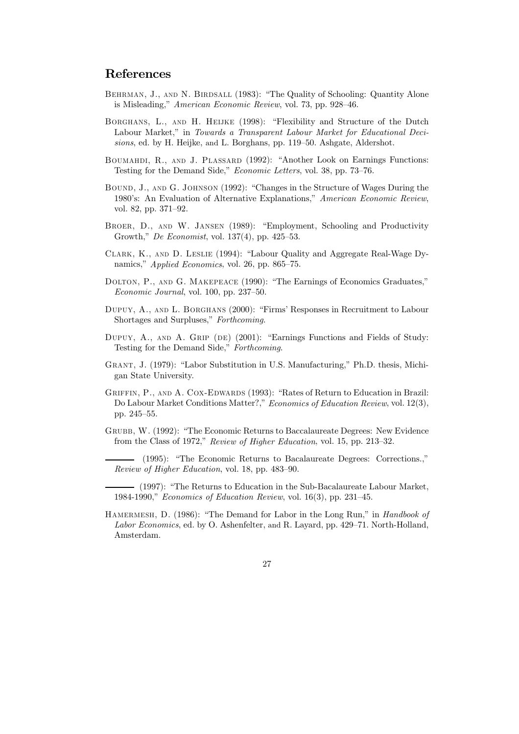## References

- BEHRMAN, J., AND N. BIRDSALL (1983): "The Quality of Schooling: Quantity Alone is Misleading," *American Economic Review*, vol. 73, pp. 928–46.
- BORGHANS, L., AND H. HELJKE (1998): "Flexibility and Structure of the Dutch Labour Market," in Towards a Transparent Labour Market for Educational Decisions, ed. by H. Heijke, and L. Borghans, pp. 119–50. Ashgate, Aldershot.
- BOUMAHDI, R., AND J. PLASSARD (1992): "Another Look on Earnings Functions: Testing for the Demand Side," *Economic Letters*, vol. 38, pp. 73-76.
- BOUND, J., AND G. JOHNSON (1992): "Changes in the Structure of Wages During the 1980's: An Evaluation of Alternative Explanations," American Economic Review, vol. 82, pp. 371-92.
- BROER, D., AND W. JANSEN (1989): "Employment, Schooling and Productivity Growth," *De Economist*, vol. 137(4), pp. 425-53.
- CLARK, K., AND D. LESLIE (1994): "Labour Quality and Aggregate Real-Wage Dynamics," Applied Economics, vol. 26, pp. 865–75.
- DOLTON, P., AND G. MAKEPEACE (1990): "The Earnings of Economics Graduates," Economic Journal, vol. 100, pp. 237-50.
- DUPUY, A., AND L. BORGHANS (2000): "Firms' Responses in Recruitment to Labour Shortages and Surpluses," Forthcoming.
- DUPUY, A., AND A. GRIP (DE) (2001): "Earnings Functions and Fields of Study: Testing for the Demand Side," Forthcoming.
- GRANT, J. (1979): "Labor Substitution in U.S. Manufacturing," Ph.D. thesis, Michigan State University.
- GRIFFIN, P., AND A. COX-EDWARDS (1993): "Rates of Return to Education in Brazil: Do Labour Market Conditions Matter?," Economics of Education Review, vol. 12(3), pp. 245-55.
- GRUBB, W. (1992): "The Economic Returns to Baccalaureate Degrees: New Evidence from the Class of 1972," Review of Higher Education, vol. 15, pp. 213-32.
	- (1995): "The Economic Returns to Bacalaureate Degrees: Corrections.," Review of Higher Education, vol. 18, pp. 483–90.
- (1997): "The Returns to Education in the Sub-Bacalaureate Labour Market, 1984-1990," Economics of Education Review, vol. 16(3), pp. 231-45.
- HAMERMESH, D. (1986): "The Demand for Labor in the Long Run," in Handbook of Labor Economics, ed. by O. Ashenfelter, and R. Layard, pp. 429–71. North-Holland, Amsterdam.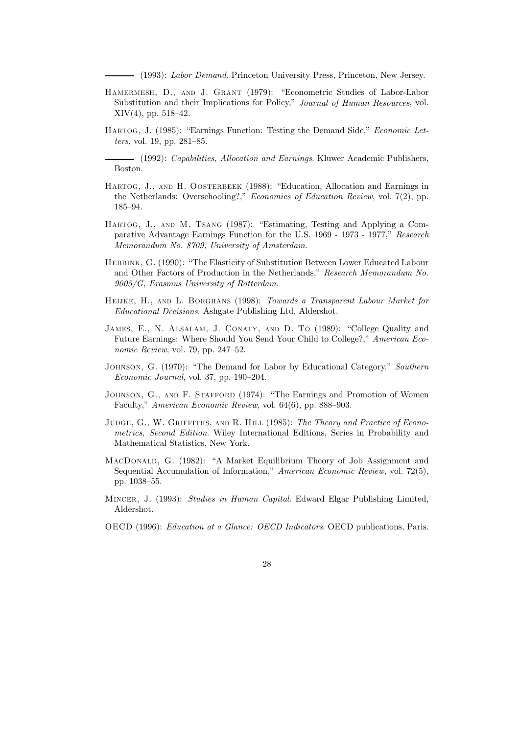- (1993): Labor Demand. Princeton University Press, Princeton, New Jersey.

- HAMERMESH, D., AND J. GRANT (1979): "Econometric Studies of Labor-Labor Substitution and their Implications for Policy," Journal of Human Resources, vol.  $XIV(4)$ , pp. 518-42.
- HARTOG, J. (1985): "Earnings Function: Testing the Demand Side," *Economic Letters*, vol. 19, pp.  $281-85$ .

- (1992): *Capabilities, Allocation and Earnings*. Kluwer Academic Publishers, Boston.

- HARTOG, J., AND H. OOSTERBEEK (1988): "Education, Allocation and Earnings in the Netherlands: Overschooling?," *Economics of Education Review*, vol.  $7(2)$ , pp. 185-94.
- HARTOG, J., AND M. TSANG (1987): "Estimating, Testing and Applying a Comparative Advantage Earnings Function for the U.S. 1969 - 1973 - 1977," Research Memorandum No. 8709, University of Amsterdam.
- HEBBINK, G. (1990): "The Elasticity of Substitution Between Lower Educated Labour and Other Factors of Production in the Netherlands," Research Memorandum No. 9005/G. Erasmus University of Rotterdam.
- HEIJKE, H., AND L. BORGHANS (1998): Towards a Transparent Labour Market for *Educational Decisions.* Ashgate Publishing Ltd, Aldershot.
- JAMES, E., N. ALSALAM, J. CONATY, AND D. TO (1989): "College Quality and Future Earnings: Where Should You Send Your Child to College?," American Economic Review, vol. 79, pp. 247-52.
- JOHNSON, G. (1970): "The Demand for Labor by Educational Category," Southern Economic Journal, vol. 37, pp. 190-204.
- JOHNSON, G., AND F. STAFFORD (1974): "The Earnings and Promotion of Women Faculty," American Economic Review, vol. 64(6), pp. 888-903.
- JUDGE, G., W. GRIFFITHS, AND R. HILL (1985): The Theory and Practice of Econometrics, Second Edition. Wiley International Editions, Series in Probability and Mathematical Statistics, New York.
- MACDONALD, G. (1982): "A Market Equilibrium Theory of Job Assignment and Sequential Accumulation of Information," American Economic Review, vol. 72(5), pp. 1038-55.
- MINCER, J. (1993): Studies in Human Capital. Edward Elgar Publishing Limited, Aldershot.
- OECD (1996): Education at a Glance: OECD Indicators. OECD publications, Paris.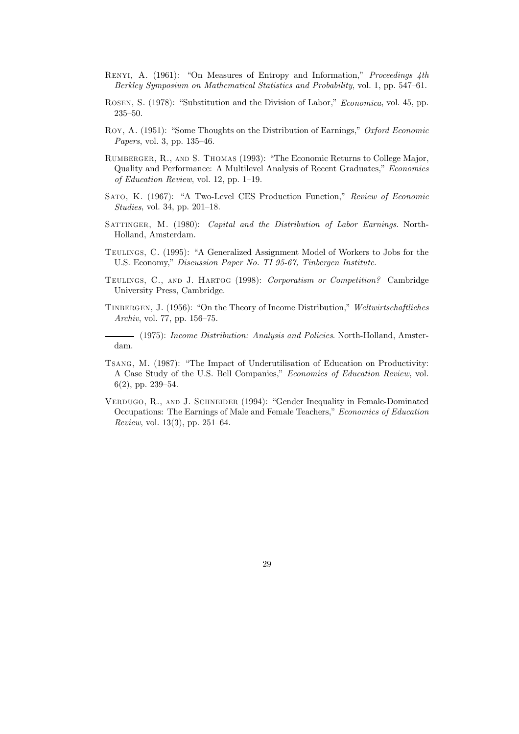- RENYI, A. (1961): "On Measures of Entropy and Information," Proceedings 4th Berkley Symposium on Mathematical Statistics and Probability, vol. 1, pp. 547–61.
- ROSEN, S. (1978): "Substitution and the Division of Labor," Economica, vol. 45, pp.  $235 - 50.$
- Roy, A. (1951): "Some Thoughts on the Distribution of Earnings," Oxford Economic Papers, vol. 3, pp. 135-46.
- RUMBERGER, R., AND S. THOMAS (1993): "The Economic Returns to College Major, Quality and Performance: A Multilevel Analysis of Recent Graduates," Economics of Education Review, vol. 12, pp. 1-19.
- SATO, K. (1967): "A Two-Level CES Production Function," Review of Economic *Studies*, vol. 34, pp. 201–18.
- SATTINGER, M. (1980): Capital and the Distribution of Labor Earnings. North-Holland, Amsterdam.
- TEULINGS, C. (1995): "A Generalized Assignment Model of Workers to Jobs for the U.S. Economy," Discussion Paper No. TI 95-67, Tinbergen Institute.
- TEULINGS, C., AND J. HARTOG (1998): Corporatism or Competition? Cambridge University Press, Cambridge.
- TINBERGEN, J. (1956): "On the Theory of Income Distribution," Weltwirtschaftliches Archiv, vol. 77, pp. 156-75.

- (1975): Income Distribution: Analysis and Policies. North-Holland, Amsterdam.

- TSANG, M. (1987): "The Impact of Underutilisation of Education on Productivity: A Case Study of the U.S. Bell Companies," Economics of Education Review, vol.  $6(2)$ , pp. 239-54.
- VERDUGO, R., AND J. SCHNEIDER (1994): "Gender Inequality in Female-Dominated Occupations: The Earnings of Male and Female Teachers," Economics of Education *Review*, vol. 13(3), pp. 251–64.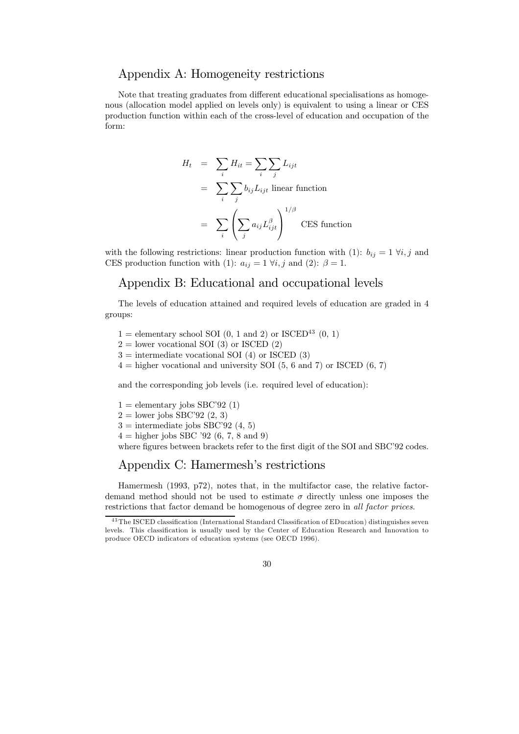## Appendix A: Homogeneity restrictions

Note that treating graduates from different educational specialisations as homogenous (allocation model applied on levels only) is equivalent to using a linear or CES production function within each of the cross-level of education and occupation of the form:

$$
H_t = \sum_i H_{it} = \sum_i \sum_j L_{ijt}
$$
  
= 
$$
\sum_i \sum_j b_{ij} L_{ijt}
$$
 linear function  
= 
$$
\sum_i \left( \sum_j a_{ij} L_{ijt}^{\beta} \right)^{1/\beta}
$$
CES function

with the following restrictions: linear production function with (1):  $b_{ij} = 1 \ \forall i, j$  and CES production function with (1):  $a_{ij} = 1 \forall i, j$  and (2):  $\beta = 1$ .

## Appendix B: Educational and occupational levels

The levels of education attained and required levels of education are graded in 4 groups:

- 1 = elementary school SOI (0, 1 and 2) or ISCED<sup>43</sup> (0, 1)
- $2 =$  lower vocational SOI (3) or ISCED (2)
- $3 =$  intermediate vocational SOI (4) or ISCED (3)
- $4 =$  higher vocational and university SOI (5, 6 and 7) or ISCED (6, 7)

and the corresponding job levels (i.e. required level of education):

- $1 =$  elementary jobs SBC'92 (1)
- $2 =$ lower jobs SBC'92 (2, 3)
- $3 =$  intermediate jobs SBC'92 (4, 5)
- $4 =$  higher jobs SBC '92 (6, 7, 8 and 9)

where figures between brackets refer to the first digit of the SOI and SBC'92 codes.

## Appendix C: Hamermesh's restrictions

Hamermesh (1993, p72), notes that, in the multifactor case, the relative factordemand method should not be used to estimate  $\sigma$  directly unless one imposes the restrictions that factor demand be homogenous of degree zero in all factor prices.

 $43$  The ISCED classification (International Standard Classification of EDucation) distinguishes seven levels. This classification is usually used by the Center of Education Research and Innovation to produce OECD indicators of education systems (see OECD 1996).

<sup>30</sup>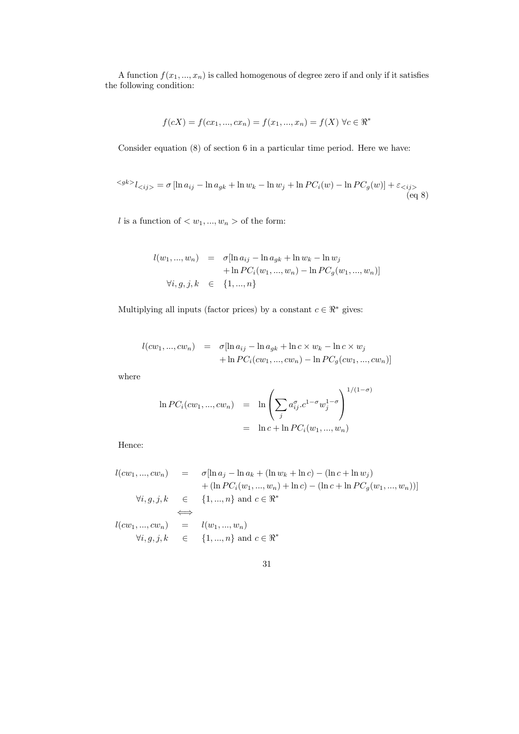A function  $f(x_1,...,x_n)$  is called homogenous of degree zero if and only if it satisfies the following condition:

$$
f(cX) = f(cx_1, ..., cx_n) = f(x_1, ..., x_n) = f(X) \,\forall c \in \mathbb{R}^*
$$

Consider equation  $(8)$  of section 6 in a particular time period. Here we have:

$$
\langle s^{gk} \rangle_{\langle i j \rangle} = \sigma \left[ \ln a_{ij} - \ln a_{gk} + \ln w_k - \ln w_j + \ln PC_i(w) - \ln PC_g(w) \right] + \varepsilon_{\langle i j \rangle} \tag{eq 8}
$$

*l* is a function of  $\langle w_1, ..., w_n \rangle$  of the form:

$$
l(w_1, ..., w_n) = \sigma[\ln a_{ij} - \ln a_{gk} + \ln w_k - \ln w_j + \ln PC_i(w_1, ..., w_n) - \ln PC_g(w_1, ..., w_n)]
$$
  

$$
\forall i, g, j, k \in \{1, ..., n\}
$$

Multiplying all inputs (factor prices) by a constant  $c \in \mathbb{R}^*$  gives:

$$
l(cw_1, ..., cw_n) = \sigma[\ln a_{ij} - \ln a_{gk} + \ln c \times w_k - \ln c \times w_j + \ln PC_i(cw_1, ..., cw_n) - \ln PC_g(cw_1, ..., cw_n)]
$$

 $% \left\vert \mathcal{L}_{\mathcal{A}}\right\vert$  where

$$
\ln PC_i(cw_1, ..., cw_n) = \ln \left( \sum_j a_{ij}^{\sigma} \cdot c^{1-\sigma} w_j^{1-\sigma} \right)^{1/(1-\sigma)}
$$
  
=  $\ln c + \ln PC_i(w_1, ..., w_n)$ 

Hence:

$$
l(cw_1, ..., cw_n) = \sigma[\ln a_j - \ln a_k + (\ln w_k + \ln c) - (\ln c + \ln w_j)
$$
  
+ 
$$
(\ln PC_i(w_1, ..., w_n) + \ln c) - (\ln c + \ln PC_g(w_1, ..., w_n))]
$$
  

$$
\forall i, g, j, k \in \{1, ..., n\} \text{ and } c \in \mathbb{R}^*
$$
  

$$
l(cw_1, ..., cw_n) = l(w_1, ..., w_n)
$$
  

$$
\forall i, g, j, k \in \{1, ..., n\} \text{ and } c \in \mathbb{R}^*
$$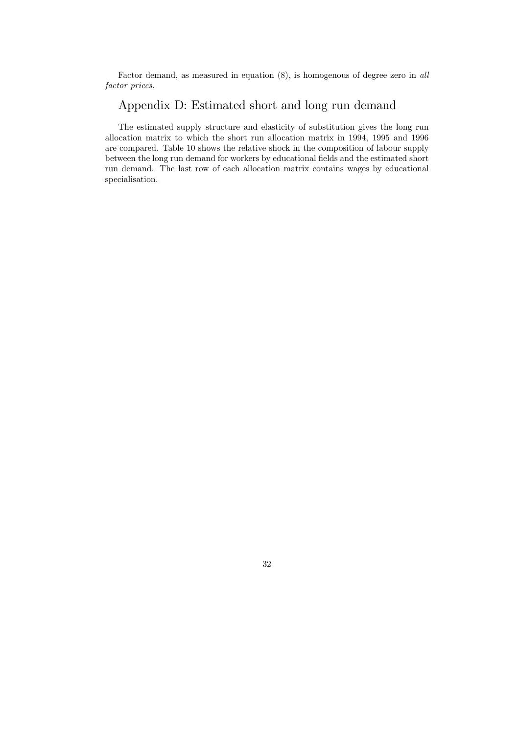Factor demand, as measured in equation  $(8)$ , is homogenous of degree zero in all factor prices.

# Appendix D: Estimated short and long run demand

The estimated supply structure and elasticity of substitution gives the long run allocation matrix to which the short run allocation matrix in 1994, 1995 and 1996 are compared. Table 10 shows the relative shock in the composition of labour supply between the long run demand for workers by educational fields and the estimated short run demand. The last row of each allocation matrix contains wages by educational specialisation.